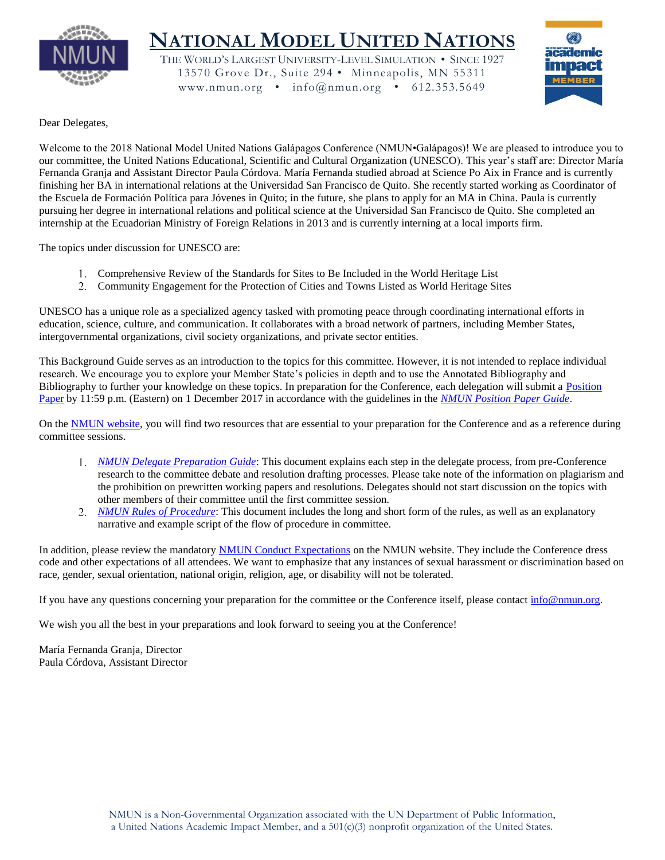

# **NATIONAL MODEL UNITED NATIONS**

THE WORLD'S LARGEST UNIVERSITY-LEVEL SIMULATION • SINCE 1927 13570 Grove Dr., Suite 294 • Minneapolis, MN 55311 www.nmun.org • info@nmun.org • 612.353.5649



Dear Delegates,

Welcome to the 2018 National Model United Nations Galápagos Conference (NMUN•Galápagos)! We are pleased to introduce you to our committee, the United Nations Educational, Scientific and Cultural Organization (UNESCO). This year's staff are: Director María Fernanda Granja and Assistant Director Paula Córdova. María Fernanda studied abroad at Science Po Aix in France and is currently finishing her BA in international relations at the Universidad San Francisco de Quito. She recently started working as Coordinator of the Escuela de Formación Política para Jóvenes in Quito; in the future, she plans to apply for an MA in China. Paula is currently pursuing her degree in international relations and political science at the Universidad San Francisco de Quito. She completed an internship at the Ecuadorian Ministry of Foreign Relations in 2013 and is currently interning at a local imports firm.

The topics under discussion for UNESCO are:

- Comprehensive Review of the Standards for Sites to Be Included in the World Heritage List
- Community Engagement for the Protection of Cities and Towns Listed as World Heritage Sites

UNESCO has a unique role as a specialized agency tasked with promoting peace through coordinating international efforts in education, science, culture, and communication. It collaborates with a broad network of partners, including Member States, intergovernmental organizations, civil society organizations, and private sector entities.

This Background Guide serves as an introduction to the topics for this committee. However, it is not intended to replace individual research. We encourage you to explore your Member State's policies in depth and to use the Annotated Bibliography and Bibliography to further your knowledge on these topics. In preparation for the Conference, each delegation will submit a [Position](http://www.nmun.org/conferences/galapagos/prepare-for-committee/position-papers.html)  [Paper](http://www.nmun.org/conferences/galapagos/prepare-for-committee/position-papers.html) by 11:59 p.m. (Eastern) on 1 December 2017 in accordance with the guidelines in the *[NMUN Position Paper Guide](http://www.nmun.org/assets/documents/NMUNPPGuide.pdf)*.

On the [NMUN website,](http://www.nmun.org/conferences/galapagos/prepare-for-committee/committee-materials.html) you will find two resources that are essential to your preparation for the Conference and as a reference during committee sessions.

- *[NMUN Delegate Preparation Guide](http://www.nmun.org/assets/documents/NMUNDelegatePrepGuide.pdf)*: This document explains each step in the delegate process, from pre-Conference research to the committee debate and resolution drafting processes. Please take note of the information on plagiarism and the prohibition on prewritten working papers and resolutions. Delegates should not start discussion on the topics with other members of their committee until the first committee session.
- *[NMUN Rules of Procedure](http://www.nmun.org/assets/documents/NMUNRules.pdf)*: This document includes the long and short form of the rules, as well as an explanatory narrative and example script of the flow of procedure in committee.

In addition, please review the mandatory [NMUN Conduct Expectations](http://www.nmun.org/conduct-expectations.html) on the NMUN website. They include the Conference dress code and other expectations of all attendees. We want to emphasize that any instances of sexual harassment or discrimination based on race, gender, sexual orientation, national origin, religion, age, or disability will not be tolerated.

If you have any questions concerning your preparation for the committee or the Conference itself, please contac[t info@nmun.org.](mailto:info@nmun.org)

We wish you all the best in your preparations and look forward to seeing you at the Conference!

María Fernanda Granja, Director Paula Córdova, Assistant Director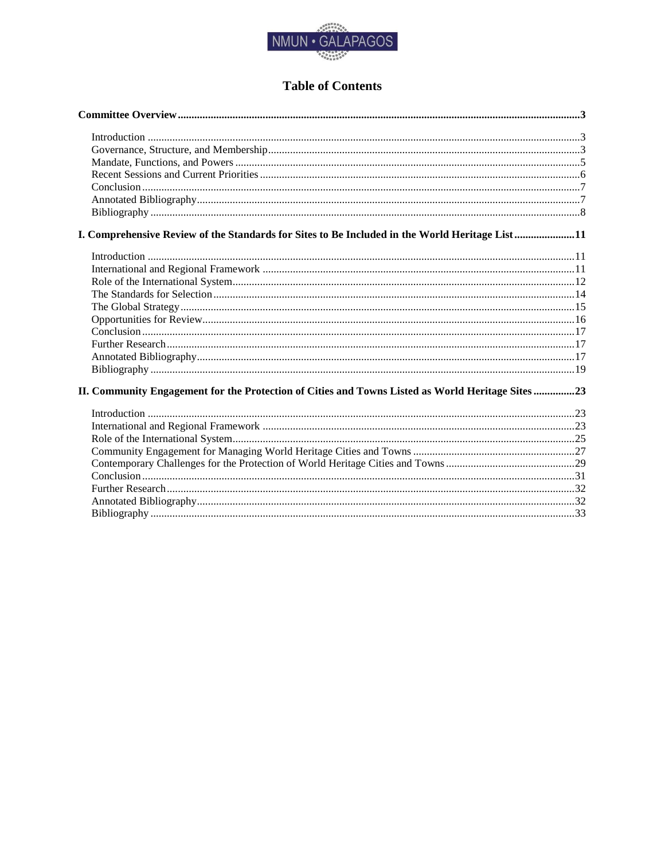

# **Table of Contents**

| I. Comprehensive Review of the Standards for Sites to Be Included in the World Heritage List11    |  |
|---------------------------------------------------------------------------------------------------|--|
|                                                                                                   |  |
|                                                                                                   |  |
|                                                                                                   |  |
|                                                                                                   |  |
|                                                                                                   |  |
|                                                                                                   |  |
|                                                                                                   |  |
|                                                                                                   |  |
|                                                                                                   |  |
|                                                                                                   |  |
| II. Community Engagement for the Protection of Cities and Towns Listed as World Heritage Sites 23 |  |
|                                                                                                   |  |
|                                                                                                   |  |
|                                                                                                   |  |
|                                                                                                   |  |
|                                                                                                   |  |
|                                                                                                   |  |
|                                                                                                   |  |
|                                                                                                   |  |
|                                                                                                   |  |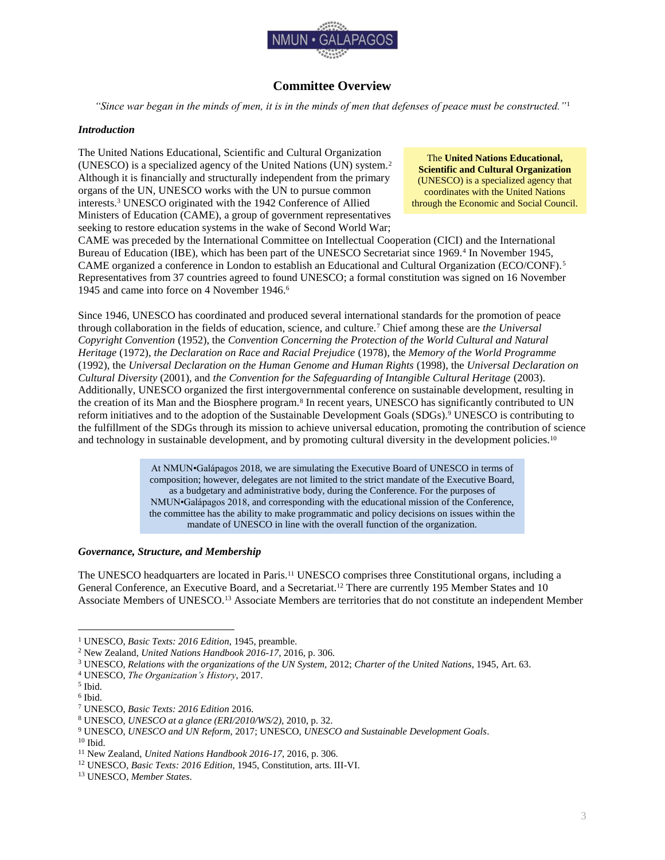

## **Committee Overview**

<span id="page-3-0"></span>*"Since war began in the minds of men, it is in the minds of men that defenses of peace must be constructed."*<sup>1</sup>

### <span id="page-3-1"></span>*Introduction*

The United Nations Educational, Scientific and Cultural Organization (UNESCO) is a specialized agency of the United Nations (UN) system.<sup>2</sup> Although it is financially and structurally independent from the primary organs of the UN, UNESCO works with the UN to pursue common interests.<sup>3</sup> UNESCO originated with the 1942 Conference of Allied Ministers of Education (CAME), a group of government representatives seeking to restore education systems in the wake of Second World War;

The **United Nations Educational, Scientific and Cultural Organization** (UNESCO) is a specialized agency that coordinates with the United Nations through the Economic and Social Council.

CAME was preceded by the International Committee on Intellectual Cooperation (CICI) and the International Bureau of Education (IBE), which has been part of the UNESCO Secretariat since 1969.<sup>4</sup> In November 1945, CAME organized a conference in London to establish an Educational and Cultural Organization (ECO/CONF).<sup>5</sup> Representatives from 37 countries agreed to found UNESCO; a formal constitution was signed on 16 November 1945 and came into force on 4 November 1946.<sup>6</sup>

Since 1946, UNESCO has coordinated and produced several international standards for the promotion of peace through collaboration in the fields of education, science, and culture.<sup>7</sup> Chief among these are *the Universal Copyright Convention* (1952), the *Convention Concerning the Protection of the World Cultural and Natural Heritage* (1972), *the Declaration on Race and Racial Prejudice* (1978), the *Memory of the World Programme* (1992), the *Universal Declaration on the Human Genome and Human Rights* (1998), the *Universal Declaration on Cultural Diversity* (2001), and *the Convention for the Safeguarding of Intangible Cultural Heritage* (2003). Additionally, UNESCO organized the first intergovernmental conference on sustainable development, resulting in the creation of its Man and the Biosphere program.<sup>8</sup> In recent years, UNESCO has significantly contributed to UN reform initiatives and to the adoption of the Sustainable Development Goals (SDGs).<sup>9</sup> UNESCO is contributing to the fulfillment of the SDGs through its mission to achieve universal education, promoting the contribution of science and technology in sustainable development, and by promoting cultural diversity in the development policies.<sup>10</sup>

> At NMUN•Galápagos 2018, we are simulating the Executive Board of UNESCO in terms of composition; however, delegates are not limited to the strict mandate of the Executive Board, as a budgetary and administrative body, during the Conference. For the purposes of NMUN•Galápagos 2018, and corresponding with the educational mission of the Conference, the committee has the ability to make programmatic and policy decisions on issues within the mandate of UNESCO in line with the overall function of the organization.

### <span id="page-3-2"></span>*Governance, Structure, and Membership*

The UNESCO headquarters are located in Paris.<sup>11</sup> UNESCO comprises three Constitutional organs, including a General Conference, an Executive Board, and a Secretariat.<sup>12</sup> There are currently 195 Member States and 10 Associate Members of UNESCO.<sup>13</sup> Associate Members are territories that do not constitute an independent Member

<sup>1</sup> UNESCO, *Basic Texts: 2016 Edition*, 1945, preamble.

<sup>2</sup> New Zealand, *United Nations Handbook 2016-17*, 2016, p. 306.

<sup>3</sup> UNESCO, *Relations with the organizations of the UN System,* 2012; *Charter of the United Nations*, 1945, Art. 63.

<sup>4</sup> UNESCO, *The Organization's History*, 2017.

<sup>5</sup> Ibid.

<sup>6</sup> Ibid.

<sup>7</sup> UNESCO, *Basic Texts: 2016 Edition* 2016.

<sup>8</sup> UNESCO, *UNESCO at a glance (ERI/2010/WS/2),* 2010, p. 32.

<sup>9</sup> UNESCO, *UNESCO and UN Reform*, 2017; UNESCO, *UNESCO and Sustainable Development Goals*.

 $10$  Ibid.

<sup>11</sup> New Zealand, *United Nations Handbook 2016-17*, 2016, p. 306.

<sup>12</sup> UNESCO, *Basic Texts: 2016 Edition*, 1945, Constitution, arts. III-VI.

<sup>13</sup> UNESCO, *Member States*.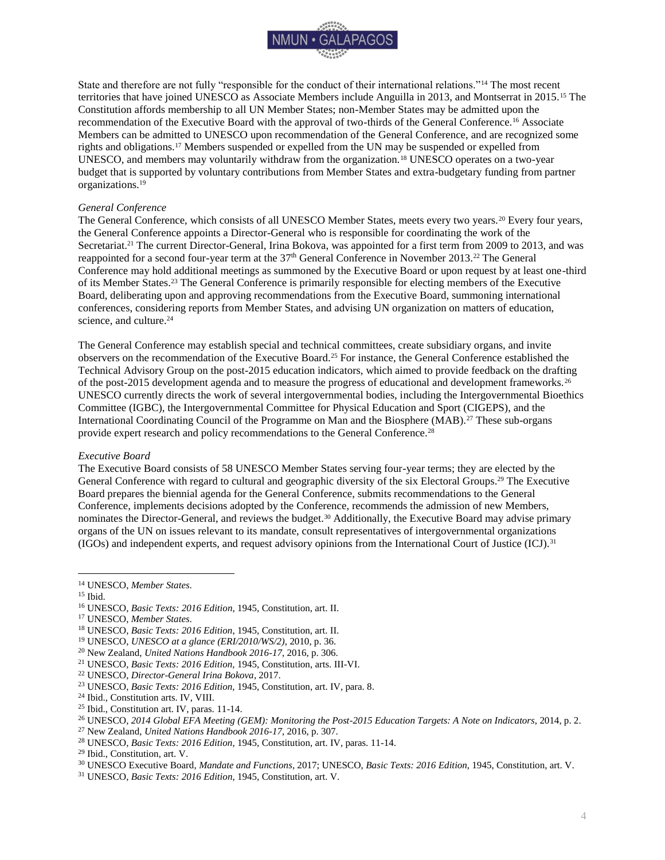

State and therefore are not fully "responsible for the conduct of their international relations."<sup>14</sup> The most recent territories that have joined UNESCO as Associate Members include Anguilla in 2013, and Montserrat in 2015.<sup>15</sup> The Constitution affords membership to all UN Member States; non-Member States may be admitted upon the recommendation of the Executive Board with the approval of two-thirds of the General Conference.<sup>16</sup> Associate Members can be admitted to UNESCO upon recommendation of the General Conference, and are recognized some rights and obligations.<sup>17</sup> Members suspended or expelled from the UN may be suspended or expelled from UNESCO, and members may voluntarily withdraw from the organization.<sup>18</sup> UNESCO operates on a two-year budget that is supported by voluntary contributions from Member States and extra-budgetary funding from partner organizations.<sup>19</sup>

#### *General Conference*

The General Conference, which consists of all UNESCO Member States, meets every two years.<sup>20</sup> Every four years, the General Conference appoints a Director-General who is responsible for coordinating the work of the Secretariat.<sup>21</sup> The current Director-General, Irina Bokova, was appointed for a first term from 2009 to 2013, and was reappointed for a second four-year term at the 37<sup>th</sup> General Conference in November 2013.<sup>22</sup> The General Conference may hold additional meetings as summoned by the Executive Board or upon request by at least one-third of its Member States.<sup>23</sup> The General Conference is primarily responsible for electing members of the Executive Board, deliberating upon and approving recommendations from the Executive Board, summoning international conferences, considering reports from Member States, and advising UN organization on matters of education, science, and culture.<sup>24</sup>

The General Conference may establish special and technical committees, create subsidiary organs, and invite observers on the recommendation of the Executive Board.<sup>25</sup> For instance, the General Conference established the Technical Advisory Group on the post-2015 education indicators, which aimed to provide feedback on the drafting of the post-2015 development agenda and to measure the progress of educational and development frameworks.<sup>26</sup> UNESCO currently directs the work of several intergovernmental bodies, including the Intergovernmental Bioethics Committee (IGBC), the Intergovernmental Committee for Physical Education and Sport (CIGEPS), and the International Coordinating Council of the Programme on Man and the Biosphere (MAB).<sup>27</sup> These sub-organs provide expert research and policy recommendations to the General Conference.<sup>28</sup>

#### *Executive Board*

The Executive Board consists of 58 UNESCO Member States serving four-year terms; they are elected by the General Conference with regard to cultural and geographic diversity of the six Electoral Groups.<sup>29</sup> The Executive Board prepares the biennial agenda for the General Conference, submits recommendations to the General Conference, implements decisions adopted by the Conference, recommends the admission of new Members, nominates the Director-General, and reviews the budget.<sup>30</sup> Additionally, the Executive Board may advise primary organs of the UN on issues relevant to its mandate, consult representatives of intergovernmental organizations (IGOs) and independent experts, and request advisory opinions from the International Court of Justice (ICJ).<sup>31</sup>

<sup>14</sup> UNESCO, *Member States*.

<sup>15</sup> Ibid.

<sup>16</sup> UNESCO, *Basic Texts: 2016 Edition*, 1945, Constitution, art. II.

<sup>17</sup> UNESCO, *Member States*.

<sup>18</sup> UNESCO, *Basic Texts: 2016 Edition*, 1945, Constitution, art. II.

<sup>19</sup> UNESCO, *UNESCO at a glance (ERI/2010/WS/2)*, 2010, p. 36.

<sup>20</sup> New Zealand, *United Nations Handbook 2016-17*, 2016, p. 306.

<sup>21</sup> UNESCO, *Basic Texts: 2016 Edition,* 1945, Constitution, arts. III-VI.

<sup>22</sup> UNESCO, *Director-General Irina Bokova*, 2017.

<sup>23</sup> UNESCO, *Basic Texts: 2016 Edition,* 1945, Constitution, art. IV, para. 8.

<sup>24</sup> Ibid., Constitution arts. IV, VIII.

<sup>25</sup> Ibid., Constitution art. IV, paras. 11-14.

<sup>26</sup> UNESCO, *2014 Global EFA Meeting (GEM): Monitoring the Post-2015 Education Targets: A Note on Indicators*, 2014, p. 2.

<sup>27</sup> New Zealand, *United Nations Handbook 2016-17*, 2016, p. 307.

<sup>28</sup> UNESCO, *Basic Texts: 2016 Edition*, 1945, Constitution, art. IV, paras. 11-14.

<sup>29</sup> Ibid., Constitution, art. V.

<sup>30</sup> UNESCO Executive Board*, Mandate and Functions*, 2017; UNESCO, *Basic Texts: 2016 Edition*, 1945, Constitution, art. V.

<sup>31</sup> UNESCO, *Basic Texts: 2016 Edition*, 1945, Constitution, art. V.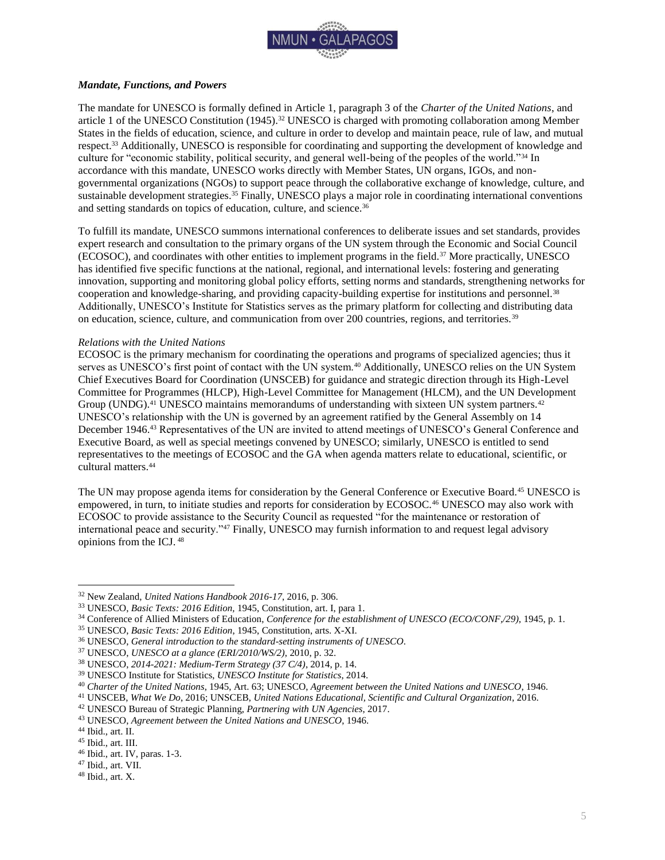

### <span id="page-5-0"></span>*Mandate, Functions, and Powers*

The mandate for UNESCO is formally defined in Article 1, paragraph 3 of the *Charter of the United Nations*, and article 1 of the UNESCO Constitution (1945).<sup>32</sup> UNESCO is charged with promoting collaboration among Member States in the fields of education, science, and culture in order to develop and maintain peace, rule of law, and mutual respect.<sup>33</sup> Additionally, UNESCO is responsible for coordinating and supporting the development of knowledge and culture for "economic stability, political security, and general well-being of the peoples of the world."<sup>34</sup> In accordance with this mandate, UNESCO works directly with Member States, UN organs, IGOs, and nongovernmental organizations (NGOs) to support peace through the collaborative exchange of knowledge, culture, and sustainable development strategies.<sup>35</sup> Finally, UNESCO plays a major role in coordinating international conventions and setting standards on topics of education, culture, and science.<sup>36</sup>

To fulfill its mandate, UNESCO summons international conferences to deliberate issues and set standards, provides expert research and consultation to the primary organs of the UN system through the Economic and Social Council (ECOSOC), and coordinates with other entities to implement programs in the field.<sup>37</sup> More practically, UNESCO has identified five specific functions at the national, regional, and international levels: fostering and generating innovation, supporting and monitoring global policy efforts, setting norms and standards, strengthening networks for cooperation and knowledge-sharing, and providing capacity-building expertise for institutions and personnel.<sup>38</sup> Additionally, UNESCO's Institute for Statistics serves as the primary platform for collecting and distributing data on education, science, culture, and communication from over 200 countries, regions, and territories.<sup>39</sup>

### *Relations with the United Nations*

ECOSOC is the primary mechanism for coordinating the operations and programs of specialized agencies; thus it serves as UNESCO's first point of contact with the UN system.<sup>40</sup> Additionally, UNESCO relies on the UN System Chief Executives Board for Coordination (UNSCEB) for guidance and strategic direction through its High-Level Committee for Programmes (HLCP), High-Level Committee for Management (HLCM), and the UN Development Group (UNDG).<sup>41</sup> UNESCO maintains memorandums of understanding with sixteen UN system partners.<sup>42</sup> UNESCO's relationship with the UN is governed by an agreement ratified by the General Assembly on 14 December 1946.<sup>43</sup> Representatives of the UN are invited to attend meetings of UNESCO's General Conference and Executive Board, as well as special meetings convened by UNESCO; similarly, UNESCO is entitled to send representatives to the meetings of ECOSOC and the GA when agenda matters relate to educational, scientific, or cultural matters.<sup>44</sup>

The UN may propose agenda items for consideration by the General Conference or Executive Board.<sup>45</sup> UNESCO is empowered, in turn, to initiate studies and reports for consideration by ECOSOC.<sup>46</sup> UNESCO may also work with ECOSOC to provide assistance to the Security Council as requested "for the maintenance or restoration of international peace and security."<sup>47</sup> Finally, UNESCO may furnish information to and request legal advisory opinions from the ICJ. <sup>48</sup>

 $\overline{a}$ 

<sup>47</sup> Ibid., art. VII.

<sup>32</sup> New Zealand, *United Nations Handbook 2016-17*, 2016, p. 306.

<sup>33</sup> UNESCO, *Basic Texts: 2016 Edition,* 1945, Constitution, art. I, para 1.

<sup>34</sup> Conference of Allied Ministers of Education, *Conference for the establishment of UNESCO (ECO/CONF,/29)*, 1945, p. 1.

<sup>35</sup> UNESCO, *Basic Texts: 2016 Edition*, 1945, Constitution, arts. X-XI.

<sup>36</sup> UNESCO, *General introduction to the standard-setting instruments of UNESCO*.

<sup>37</sup> UNESCO, *UNESCO at a glance (ERI/2010/WS/2)*, 2010, p. 32.

<sup>38</sup> UNESCO, *2014-2021: Medium-Term Strategy (37 C/4)*, 2014, p. 14.

<sup>39</sup> UNESCO Institute for Statistics, *UNESCO Institute for Statistics*, 2014.

<sup>40</sup> *Charter of the United Nations*, 1945, Art. 63; UNESCO, *Agreement between the United Nations and UNESCO*, 1946.

<sup>41</sup> UNSCEB, *What We Do*, 2016; UNSCEB, *United Nations Educational, Scientific and Cultural Organization*, 2016.

<sup>42</sup> UNESCO Bureau of Strategic Planning, *Partnering with UN Agencies*, 2017.

<sup>43</sup> UNESCO, *Agreement between the United Nations and UNESCO*, 1946.

<sup>44</sup> Ibid., art. II.

<sup>45</sup> Ibid., art. III.

<sup>46</sup> Ibid., art. IV, paras. 1-3.

<sup>48</sup> Ibid., art. X.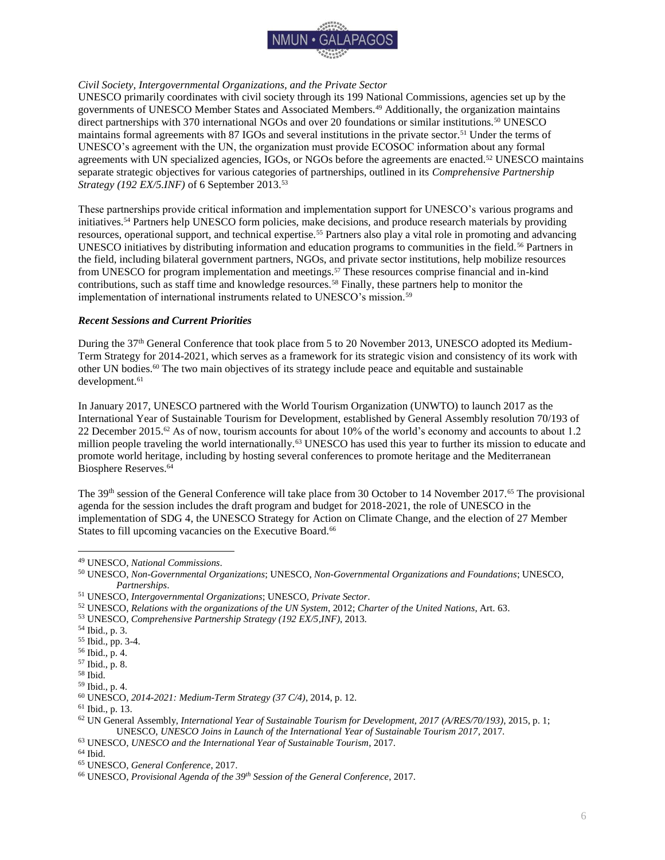

### *Civil Society, Intergovernmental Organizations, and the Private Sector*

UNESCO primarily coordinates with civil society through its 199 National Commissions, agencies set up by the governments of UNESCO Member States and Associated Members.<sup>49</sup> Additionally, the organization maintains direct partnerships with 370 international NGOs and over 20 foundations or similar institutions.<sup>50</sup> UNESCO maintains formal agreements with 87 IGOs and several institutions in the private sector.<sup>51</sup> Under the terms of UNESCO's agreement with the UN, the organization must provide ECOSOC information about any formal agreements with UN specialized agencies, IGOs, or NGOs before the agreements are enacted.<sup>52</sup> UNESCO maintains separate strategic objectives for various categories of partnerships, outlined in its *Comprehensive Partnership Strategy (192 EX/5.INF)* of 6 September 2013.<sup>53</sup>

These partnerships provide critical information and implementation support for UNESCO's various programs and initiatives.<sup>54</sup> Partners help UNESCO form policies, make decisions, and produce research materials by providing resources, operational support, and technical expertise.<sup>55</sup> Partners also play a vital role in promoting and advancing UNESCO initiatives by distributing information and education programs to communities in the field.<sup>56</sup> Partners in the field, including bilateral government partners, NGOs, and private sector institutions, help mobilize resources from UNESCO for program implementation and meetings.<sup>57</sup> These resources comprise financial and in-kind contributions, such as staff time and knowledge resources.<sup>58</sup> Finally, these partners help to monitor the implementation of international instruments related to UNESCO's mission.<sup>59</sup>

### <span id="page-6-0"></span>*Recent Sessions and Current Priorities*

During the 37<sup>th</sup> General Conference that took place from 5 to 20 November 2013, UNESCO adopted its Medium-Term Strategy for 2014-2021, which serves as a framework for its strategic vision and consistency of its work with other UN bodies.<sup>60</sup> The two main objectives of its strategy include peace and equitable and sustainable development.<sup>61</sup>

In January 2017, UNESCO partnered with the World Tourism Organization (UNWTO) to launch 2017 as the International Year of Sustainable Tourism for Development, established by General Assembly resolution 70/193 of 22 December 2015.<sup>62</sup> As of now, tourism accounts for about 10% of the world's economy and accounts to about 1.2 million people traveling the world internationally.<sup>63</sup> UNESCO has used this year to further its mission to educate and promote world heritage, including by hosting several conferences to promote heritage and the Mediterranean Biosphere Reserves.<sup>64</sup>

The 39<sup>th</sup> session of the General Conference will take place from 30 October to 14 November 2017.<sup>65</sup> The provisional agenda for the session includes the draft program and budget for 2018-2021, the role of UNESCO in the implementation of SDG 4, the UNESCO Strategy for Action on Climate Change, and the election of 27 Member States to fill upcoming vacancies on the Executive Board.<sup>66</sup>

<sup>49</sup> UNESCO, *National Commissions*.

<sup>50</sup> UNESCO, *Non-Governmental Organizations*; UNESCO, *Non-Governmental Organizations and Foundations*; UNESCO, *Partnerships*.

<sup>51</sup> UNESCO, *Intergovernmental Organizations*; UNESCO, *Private Sector*.

<sup>52</sup> UNESCO, *Relations with the organizations of the UN System*, 2012; *Charter of the United Nations*, Art. 63.

<sup>53</sup> UNESCO, *Comprehensive Partnership Strategy (192 EX/5,INF)*, 2013.

<sup>54</sup> Ibid., p. 3.

<sup>55</sup> Ibid., pp. 3-4.

<sup>56</sup> Ibid., p. 4.

<sup>57</sup> Ibid., p. 8.

<sup>58</sup> Ibid.

<sup>59</sup> Ibid., p. 4.

<sup>60</sup> UNESCO, *2014-2021: Medium-Term Strategy (37 C/4)*, 2014, p. 12.

<sup>61</sup> Ibid., p. 13.

<sup>62</sup> UN General Assembly, *International Year of Sustainable Tourism for Development, 2017 (A/RES/70/193)*, 2015, p. 1; UNESCO, *UNESCO Joins in Launch of the International Year of Sustainable Tourism 2017*, 2017.

<sup>63</sup> UNESCO, *UNESCO and the International Year of Sustainable Tourism*, 2017.

<sup>64</sup> Ibid.

<sup>65</sup> UNESCO, *General Conference*, 2017.

<sup>66</sup> UNESCO, *Provisional Agenda of the 39th Session of the General Conference*, 2017.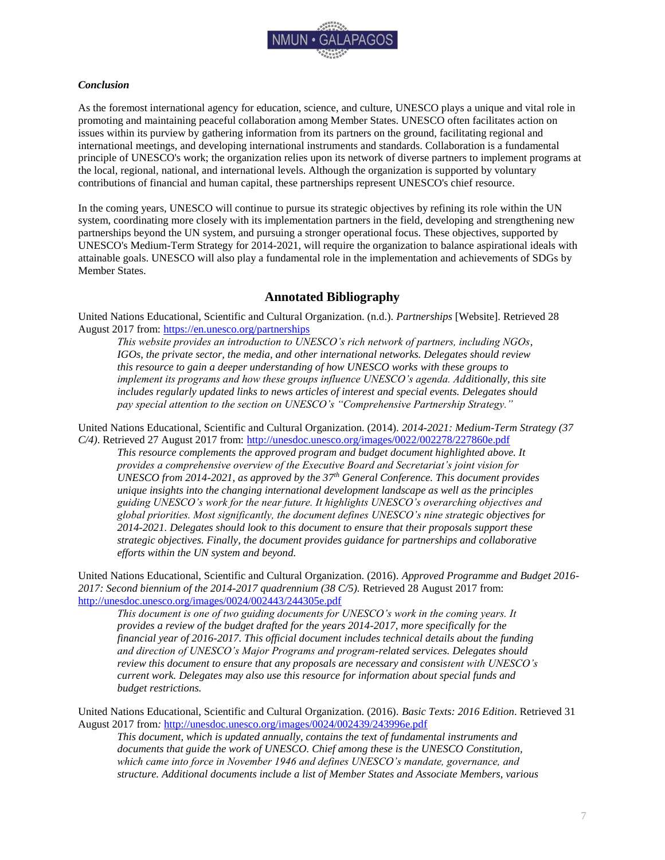

### <span id="page-7-0"></span>*Conclusion*

As the foremost international agency for education, science, and culture, UNESCO plays a unique and vital role in promoting and maintaining peaceful collaboration among Member States. UNESCO often facilitates action on issues within its purview by gathering information from its partners on the ground, facilitating regional and international meetings, and developing international instruments and standards. Collaboration is a fundamental principle of UNESCO's work; the organization relies upon its network of diverse partners to implement programs at the local, regional, national, and international levels. Although the organization is supported by voluntary contributions of financial and human capital, these partnerships represent UNESCO's chief resource.

In the coming years, UNESCO will continue to pursue its strategic objectives by refining its role within the UN system, coordinating more closely with its implementation partners in the field, developing and strengthening new partnerships beyond the UN system, and pursuing a stronger operational focus. These objectives, supported by UNESCO's Medium-Term Strategy for 2014-2021, will require the organization to balance aspirational ideals with attainable goals. UNESCO will also play a fundamental role in the implementation and achievements of SDGs by Member States.

### **Annotated Bibliography**

<span id="page-7-1"></span>United Nations Educational, Scientific and Cultural Organization. (n.d.). *Partnerships* [Website]. Retrieved 28 August 2017 from:<https://en.unesco.org/partnerships>

*This website provides an introduction to UNESCO's rich network of partners, including NGOs, IGOs, the private sector, the media, and other international networks. Delegates should review this resource to gain a deeper understanding of how UNESCO works with these groups to implement its programs and how these groups influence UNESCO's agenda. Additionally, this site includes regularly updated links to news articles of interest and special events. Delegates should pay special attention to the section on UNESCO's "Comprehensive Partnership Strategy."*

United Nations Educational, Scientific and Cultural Organization. (2014). *2014-2021: Medium-Term Strategy (37 C/4)*. Retrieved 27 August 2017 from:<http://unesdoc.unesco.org/images/0022/002278/227860e.pdf>

*This resource complements the approved program and budget document highlighted above. It provides a comprehensive overview of the Executive Board and Secretariat's joint vision for UNESCO from 2014-2021, as approved by the 37th General Conference. This document provides unique insights into the changing international development landscape as well as the principles guiding UNESCO's work for the near future. It highlights UNESCO's overarching objectives and global priorities. Most significantly, the document defines UNESCO's nine strategic objectives for 2014-2021. Delegates should look to this document to ensure that their proposals support these strategic objectives. Finally, the document provides guidance for partnerships and collaborative efforts within the UN system and beyond.*

United Nations Educational, Scientific and Cultural Organization. (2016)*. Approved Programme and Budget 2016- 2017: Second biennium of the 2014-2017 quadrennium (38 C/5).* Retrieved 28 August 2017 from: <http://unesdoc.unesco.org/images/0024/002443/244305e.pdf>

*This document is one of two guiding documents for UNESCO's work in the coming years. It provides a review of the budget drafted for the years 2014-2017, more specifically for the financial year of 2016-2017. This official document includes technical details about the funding and direction of UNESCO's Major Programs and program-related services. Delegates should review this document to ensure that any proposals are necessary and consistent with UNESCO's current work. Delegates may also use this resource for information about special funds and budget restrictions.* 

United Nations Educational, Scientific and Cultural Organization. (2016). *Basic Texts: 2016 Edition*. Retrieved 31 August 2017 from*:* <http://unesdoc.unesco.org/images/0024/002439/243996e.pdf>

*This document, which is updated annually, contains the text of fundamental instruments and documents that guide the work of UNESCO. Chief among these is the UNESCO Constitution, which came into force in November 1946 and defines UNESCO's mandate, governance, and structure. Additional documents include a list of Member States and Associate Members, various*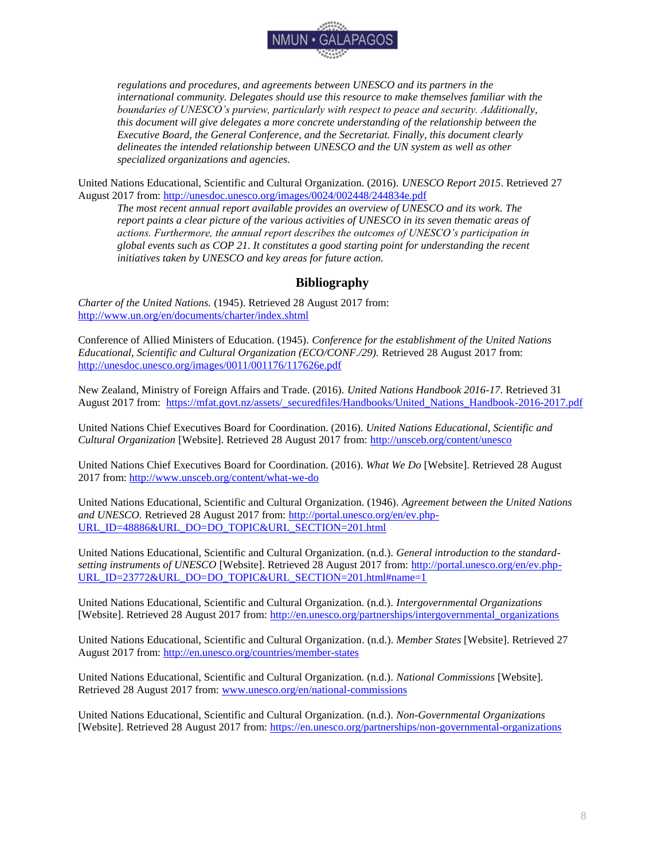

*regulations and procedures, and agreements between UNESCO and its partners in the international community. Delegates should use this resource to make themselves familiar with the boundaries of UNESCO's purview, particularly with respect to peace and security. Additionally, this document will give delegates a more concrete understanding of the relationship between the Executive Board, the General Conference, and the Secretariat. Finally, this document clearly delineates the intended relationship between UNESCO and the UN system as well as other specialized organizations and agencies.*

United Nations Educational, Scientific and Cultural Organization. (2016). *UNESCO Report 2015*. Retrieved 27 August 2017 from:<http://unesdoc.unesco.org/images/0024/002448/244834e.pdf>

*The most recent annual report available provides an overview of UNESCO and its work. The report paints a clear picture of the various activities of UNESCO in its seven thematic areas of actions. Furthermore, the annual report describes the outcomes of UNESCO's participation in global events such as COP 21. It constitutes a good starting point for understanding the recent initiatives taken by UNESCO and key areas for future action.*

### **Bibliography**

<span id="page-8-0"></span>*Charter of the United Nations.* (1945). Retrieved 28 August 2017 from: <http://www.un.org/en/documents/charter/index.shtml>

Conference of Allied Ministers of Education. (1945). *Conference for the establishment of the United Nations Educational, Scientific and Cultural Organization (ECO/CONF./29).* Retrieved 28 August 2017 from: <http://unesdoc.unesco.org/images/0011/001176/117626e.pdf>

New Zealand, Ministry of Foreign Affairs and Trade. (2016). *United Nations Handbook 2016-17*. Retrieved 31 August 2017 from: [https://mfat.govt.nz/assets/\\_securedfiles/Handbooks/United\\_Nations\\_Handbook-2016-2017.pdf](https://mfat.govt.nz/assets/_securedfiles/Handbooks/United_Nations_Handbook-2016-2017.pdf)

United Nations Chief Executives Board for Coordination. (2016). *United Nations Educational, Scientific and Cultural Organization* [Website]. Retrieved 28 August 2017 from:<http://unsceb.org/content/unesco>

United Nations Chief Executives Board for Coordination. (2016). *What We Do* [Website]. Retrieved 28 August 2017 from:<http://www.unsceb.org/content/what-we-do>

United Nations Educational, Scientific and Cultural Organization. (1946). *Agreement between the United Nations and UNESCO.* Retrieved 28 August 2017 from: [http://portal.unesco.org/en/ev.php-](http://portal.unesco.org/en/ev.php-URL_ID=48886&URL_DO=DO_TOPIC&URL_SECTION=201.html)[URL\\_ID=48886&URL\\_DO=DO\\_TOPIC&URL\\_SECTION=201.html](http://portal.unesco.org/en/ev.php-URL_ID=48886&URL_DO=DO_TOPIC&URL_SECTION=201.html)

United Nations Educational, Scientific and Cultural Organization. (n.d.). *General introduction to the standardsetting instruments of UNESCO* [Website]. Retrieved 28 August 2017 from: [http://portal.unesco.org/en/ev.php-](http://portal.unesco.org/en/ev.php-URL_ID=23772&URL_DO=DO_TOPIC&URL_SECTION=201.html#name=1)[URL\\_ID=23772&URL\\_DO=DO\\_TOPIC&URL\\_SECTION=201.html#name=1](http://portal.unesco.org/en/ev.php-URL_ID=23772&URL_DO=DO_TOPIC&URL_SECTION=201.html#name=1)

United Nations Educational, Scientific and Cultural Organization. (n.d.). *Intergovernmental Organizations* [Website]. Retrieved 28 August 2017 from: [http://en.unesco.org/partnerships/intergovernmental\\_organizations](http://en.unesco.org/partnerships/intergovernmental_organizations)

United Nations Educational, Scientific and Cultural Organization. (n.d.). *Member States* [Website]. Retrieved 27 August 2017 from:<http://en.unesco.org/countries/member-states>

United Nations Educational, Scientific and Cultural Organization. (n.d.). *National Commissions* [Website]. Retrieved 28 August 2017 from: [www.unesco.org/en/national-commissions](http://www.unesco.org/en/national-commissions)

United Nations Educational, Scientific and Cultural Organization. (n.d.). *Non-Governmental Organizations*  [Website]. Retrieved 28 August 2017 from:<https://en.unesco.org/partnerships/non-governmental-organizations>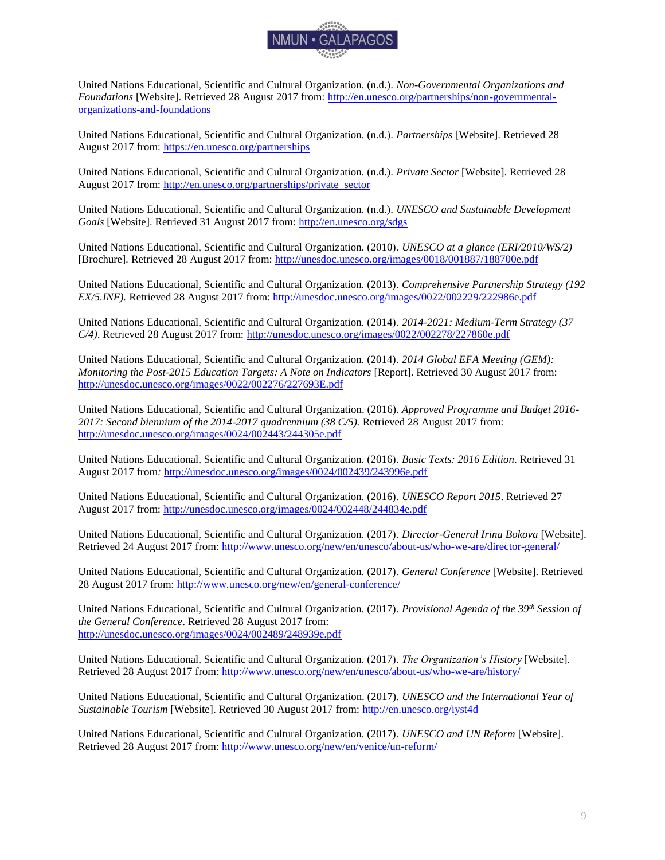

United Nations Educational, Scientific and Cultural Organization. (n.d.). *Non-Governmental Organizations and Foundations* [Website]. Retrieved 28 August 2017 from: [http://en.unesco.org/partnerships/non-governmental](http://en.unesco.org/partnerships/non-governmental-organizations-and-foundations)[organizations-and-foundations](http://en.unesco.org/partnerships/non-governmental-organizations-and-foundations)

United Nations Educational, Scientific and Cultural Organization. (n.d.). *Partnerships* [Website]. Retrieved 28 August 2017 from:<https://en.unesco.org/partnerships>

United Nations Educational, Scientific and Cultural Organization. (n.d.). *Private Sector* [Website]. Retrieved 28 August 2017 from: [http://en.unesco.org/partnerships/private\\_sector](http://en.unesco.org/partnerships/private_sector)

United Nations Educational, Scientific and Cultural Organization. (n.d.). *UNESCO and Sustainable Development Goals* [Website]. Retrieved 31 August 2017 from:<http://en.unesco.org/sdgs>

United Nations Educational, Scientific and Cultural Organization. (2010). *UNESCO at a glance (ERI/2010/WS/2)*  [Brochure]*.* Retrieved 28 August 2017 from:<http://unesdoc.unesco.org/images/0018/001887/188700e.pdf>

United Nations Educational, Scientific and Cultural Organization. (2013). *Comprehensive Partnership Strategy (192 EX/5.INF).* Retrieved 28 August 2017 from:<http://unesdoc.unesco.org/images/0022/002229/222986e.pdf>

United Nations Educational, Scientific and Cultural Organization. (2014). *2014-2021: Medium-Term Strategy (37 C/4)*. Retrieved 28 August 2017 from:<http://unesdoc.unesco.org/images/0022/002278/227860e.pdf>

United Nations Educational, Scientific and Cultural Organization. (2014). *2014 Global EFA Meeting (GEM): Monitoring the Post-2015 Education Targets: A Note on Indicators* [Report]. Retrieved 30 August 2017 from: <http://unesdoc.unesco.org/images/0022/002276/227693E.pdf>

United Nations Educational, Scientific and Cultural Organization. (2016)*. Approved Programme and Budget 2016- 2017: Second biennium of the 2014-2017 quadrennium (38 C/5).* Retrieved 28 August 2017 from: <http://unesdoc.unesco.org/images/0024/002443/244305e.pdf>

United Nations Educational, Scientific and Cultural Organization. (2016). *Basic Texts: 2016 Edition*. Retrieved 31 August 2017 from*:* <http://unesdoc.unesco.org/images/0024/002439/243996e.pdf>

United Nations Educational, Scientific and Cultural Organization. (2016). *UNESCO Report 2015*. Retrieved 27 August 2017 from:<http://unesdoc.unesco.org/images/0024/002448/244834e.pdf>

United Nations Educational, Scientific and Cultural Organization. (2017). *Director-General Irina Bokova* [Website]. Retrieved 24 August 2017 from:<http://www.unesco.org/new/en/unesco/about-us/who-we-are/director-general/>

United Nations Educational, Scientific and Cultural Organization. (2017). *General Conference* [Website]. Retrieved 28 August 2017 from:<http://www.unesco.org/new/en/general-conference/>

United Nations Educational, Scientific and Cultural Organization. (2017). *Provisional Agenda of the 39th Session of the General Conference*. Retrieved 28 August 2017 from: <http://unesdoc.unesco.org/images/0024/002489/248939e.pdf>

United Nations Educational, Scientific and Cultural Organization. (2017). *The Organization's History* [Website]. Retrieved 28 August 2017 from:<http://www.unesco.org/new/en/unesco/about-us/who-we-are/history/>

United Nations Educational, Scientific and Cultural Organization. (2017). *UNESCO and the International Year of Sustainable Tourism* [Website]. Retrieved 30 August 2017 from:<http://en.unesco.org/iyst4d>

United Nations Educational, Scientific and Cultural Organization. (2017). *UNESCO and UN Reform* [Website]. Retrieved 28 August 2017 from:<http://www.unesco.org/new/en/venice/un-reform/>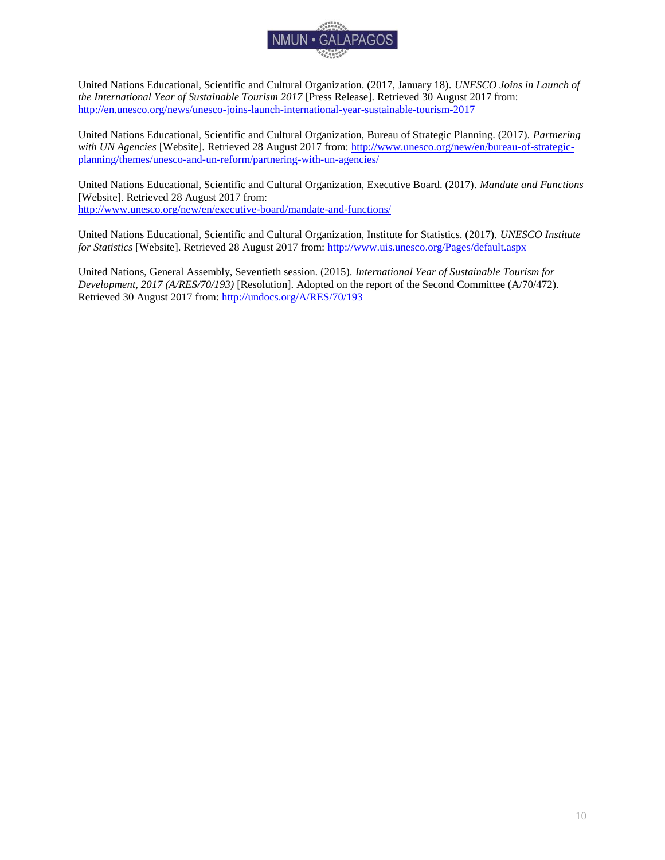

United Nations Educational, Scientific and Cultural Organization. (2017, January 18). *UNESCO Joins in Launch of the International Year of Sustainable Tourism 2017* [Press Release]. Retrieved 30 August 2017 from: <http://en.unesco.org/news/unesco-joins-launch-international-year-sustainable-tourism-2017>

United Nations Educational, Scientific and Cultural Organization, Bureau of Strategic Planning. (2017). *Partnering with UN Agencies* [Website]. Retrieved 28 August 2017 from: [http://www.unesco.org/new/en/bureau-of-strategic](http://www.unesco.org/new/en/bureau-of-strategic-planning/themes/unesco-and-un-reform/partnering-with-un-agencies/)[planning/themes/unesco-and-un-reform/partnering-with-un-agencies/](http://www.unesco.org/new/en/bureau-of-strategic-planning/themes/unesco-and-un-reform/partnering-with-un-agencies/)

United Nations Educational, Scientific and Cultural Organization, Executive Board. (2017). *Mandate and Functions*  [Website]. Retrieved 28 August 2017 from: <http://www.unesco.org/new/en/executive-board/mandate-and-functions/>

United Nations Educational, Scientific and Cultural Organization, Institute for Statistics. (2017). *UNESCO Institute for Statistics* [Website]. Retrieved 28 August 2017 from[: http://www.uis.unesco.org/Pages/default.aspx](http://www.uis.unesco.org/Pages/default.aspx)

United Nations, General Assembly, Seventieth session. (2015). *International Year of Sustainable Tourism for Development, 2017 (A/RES/70/193)* [Resolution]. Adopted on the report of the Second Committee (A/70/472). Retrieved 30 August 2017 from:<http://undocs.org/A/RES/70/193>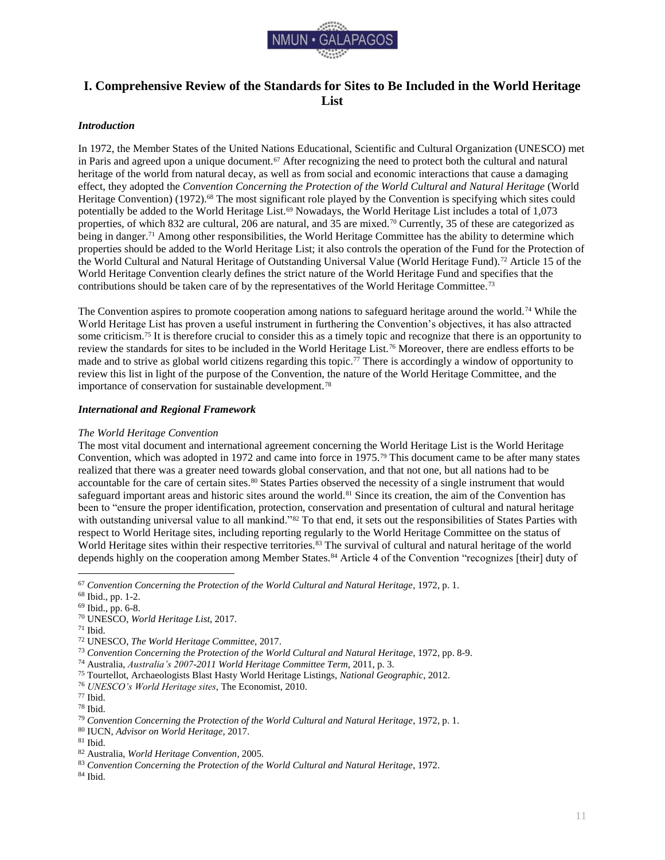

# <span id="page-11-0"></span>**I. Comprehensive Review of the Standards for Sites to Be Included in the World Heritage List**

### <span id="page-11-1"></span>*Introduction*

In 1972, the Member States of the United Nations Educational, Scientific and Cultural Organization (UNESCO) met in Paris and agreed upon a unique document.<sup>67</sup> After recognizing the need to protect both the cultural and natural heritage of the world from natural decay, as well as from social and economic interactions that cause a damaging effect, they adopted the *Convention Concerning the Protection of the World Cultural and Natural Heritage* (World Heritage Convention) (1972).<sup>68</sup> The most significant role played by the Convention is specifying which sites could potentially be added to the World Heritage List.<sup>69</sup> Nowadays, the World Heritage List includes a total of 1,073 properties, of which 832 are cultural, 206 are natural, and 35 are mixed.<sup>70</sup> Currently, 35 of these are categorized as being in danger.<sup>71</sup> Among other responsibilities, the World Heritage Committee has the ability to determine which properties should be added to the World Heritage List; it also controls the operation of the Fund for the Protection of the World Cultural and Natural Heritage of Outstanding Universal Value (World Heritage Fund).<sup>72</sup> Article 15 of the World Heritage Convention clearly defines the strict nature of the World Heritage Fund and specifies that the contributions should be taken care of by the representatives of the World Heritage Committee.<sup>73</sup>

The Convention aspires to promote cooperation among nations to safeguard heritage around the world.<sup>74</sup> While the World Heritage List has proven a useful instrument in furthering the Convention's objectives, it has also attracted some criticism.<sup>75</sup> It is therefore crucial to consider this as a timely topic and recognize that there is an opportunity to review the standards for sites to be included in the World Heritage List.<sup>76</sup> Moreover, there are endless efforts to be made and to strive as global world citizens regarding this topic.<sup>77</sup> There is accordingly a window of opportunity to review this list in light of the purpose of the Convention, the nature of the World Heritage Committee, and the importance of conservation for sustainable development.<sup>78</sup>

### <span id="page-11-2"></span>*International and Regional Framework*

### *The World Heritage Convention*

The most vital document and international agreement concerning the World Heritage List is the World Heritage Convention, which was adopted in 1972 and came into force in 1975.<sup>79</sup> This document came to be after many states realized that there was a greater need towards global conservation, and that not one, but all nations had to be accountable for the care of certain sites.<sup>80</sup> States Parties observed the necessity of a single instrument that would safeguard important areas and historic sites around the world.<sup>81</sup> Since its creation, the aim of the Convention has been to "ensure the proper identification, protection, conservation and presentation of cultural and natural heritage with outstanding universal value to all mankind."<sup>82</sup> To that end, it sets out the responsibilities of States Parties with respect to World Heritage sites, including reporting regularly to the World Heritage Committee on the status of World Heritage sites within their respective territories.<sup>83</sup> The survival of cultural and natural heritage of the world depends highly on the cooperation among Member States.<sup>84</sup> Article 4 of the Convention "recognizes [their] duty of

<sup>67</sup> *Convention Concerning the Protection of the World Cultural and Natural Heritage*, 1972, p. 1.

<sup>68</sup> Ibid., pp. 1-2.

<sup>69</sup> Ibid., pp. 6-8.

<sup>70</sup> UNESCO, *World Heritage List*, 2017.

<sup>71</sup> Ibid.

<sup>72</sup> UNESCO, *The World Heritage Committee*, 2017.

<sup>73</sup> *Convention Concerning the Protection of the World Cultural and Natural Heritage*, 1972, pp. 8-9.

<sup>74</sup> Australia, *Australia's 2007-2011 World Heritage Committee Term*, 2011, p. 3.

<sup>75</sup> Tourtellot, Archaeologists Blast Hasty World Heritage Listings, *National Geographic*, 2012.

<sup>76</sup> *UNESCO's World Heritage sites*, The Economist, 2010.

<sup>77</sup> Ibid.

<sup>78</sup> Ibid.

<sup>79</sup> *Convention Concerning the Protection of the World Cultural and Natural Heritage*, 1972, p. 1.

<sup>80</sup> IUCN, *Advisor on World Heritage*, 2017.

 $81$  Ibid.

<sup>82</sup> Australia, *World Heritage Convention*, 2005.

<sup>83</sup> *Convention Concerning the Protection of the World Cultural and Natural Heritage*, 1972.

<sup>84</sup> Ibid.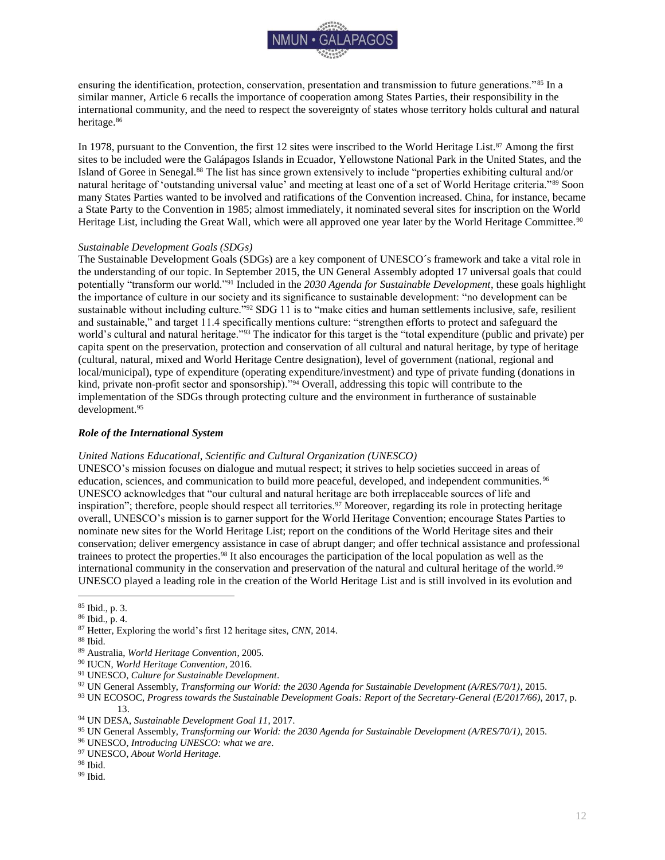

ensuring the identification, protection, conservation, presentation and transmission to future generations."<sup>85</sup> In a similar manner, Article 6 recalls the importance of cooperation among States Parties, their responsibility in the international community, and the need to respect the sovereignty of states whose territory holds cultural and natural heritage.<sup>86</sup>

In 1978, pursuant to the Convention, the first 12 sites were inscribed to the World Heritage List.<sup>87</sup> Among the first sites to be included were the Galápagos Islands in Ecuador, Yellowstone National Park in the United States, and the Island of Goree in Senegal.<sup>88</sup> The list has since grown extensively to include "properties exhibiting cultural and/or natural heritage of 'outstanding universal value' and meeting at least one of a set of World Heritage criteria."<sup>89</sup> Soon many States Parties wanted to be involved and ratifications of the Convention increased. China, for instance, became a State Party to the Convention in 1985; almost immediately, it nominated several sites for inscription on the World Heritage List, including the Great Wall, which were all approved one year later by the World Heritage Committee.<sup>90</sup>

### *Sustainable Development Goals (SDGs)*

The Sustainable Development Goals (SDGs) are a key component of UNESCO´s framework and take a vital role in the understanding of our topic. In September 2015, the UN General Assembly adopted 17 universal goals that could potentially "transform our world."<sup>91</sup> Included in the *2030 Agenda for Sustainable Development*, these goals highlight the importance of culture in our society and its significance to sustainable development: "no development can be sustainable without including culture."<sup>92</sup> SDG 11 is to "make cities and human settlements inclusive, safe, resilient and sustainable," and target 11.4 specifically mentions culture: "strengthen efforts to protect and safeguard the world's cultural and natural heritage."<sup>93</sup> The indicator for this target is the "total expenditure (public and private) per capita spent on the preservation, protection and conservation of all cultural and natural heritage, by type of heritage (cultural, natural, mixed and World Heritage Centre designation), level of government (national, regional and local/municipal), type of expenditure (operating expenditure/investment) and type of private funding (donations in kind, private non-profit sector and sponsorship)."<sup>94</sup> Overall, addressing this topic will contribute to the implementation of the SDGs through protecting culture and the environment in furtherance of sustainable development.<sup>95</sup>

### <span id="page-12-0"></span>*Role of the International System*

### *United Nations Educational, Scientific and Cultural Organization (UNESCO)*

UNESCO's mission focuses on dialogue and mutual respect; it strives to help societies succeed in areas of education, sciences, and communication to build more peaceful, developed, and independent communities.<sup>96</sup> UNESCO acknowledges that "our cultural and natural heritage are both irreplaceable sources of life and inspiration"; therefore, people should respect all territories.<sup>97</sup> Moreover, regarding its role in protecting heritage overall, UNESCO's mission is to garner support for the World Heritage Convention; encourage States Parties to nominate new sites for the World Heritage List; report on the conditions of the World Heritage sites and their conservation; deliver emergency assistance in case of abrupt danger; and offer technical assistance and professional trainees to protect the properties.<sup>98</sup> It also encourages the participation of the local population as well as the international community in the conservation and preservation of the natural and cultural heritage of the world.<sup>99</sup> UNESCO played a leading role in the creation of the World Heritage List and is still involved in its evolution and

<sup>93</sup> UN ECOSOC, *Progress towards the Sustainable Development Goals: Report of the Secretary-General (E/2017/66)*, 2017, p. 13.

 $\overline{a}$ <sup>85</sup> Ibid., p. 3.

<sup>86</sup> Ibid., p. 4.

<sup>87</sup> Hetter, Exploring the world's first 12 heritage sites, *CNN*, 2014.

<sup>88</sup> Ibid.

<sup>89</sup> Australia, *World Heritage Convention*, 2005.

<sup>90</sup> IUCN, *World Heritage Convention*, 2016.

<sup>91</sup> UNESCO, *Culture for Sustainable Development*.

<sup>92</sup> UN General Assembly, *Transforming our World: the 2030 Agenda for Sustainable Development (A/RES/70/1)*, 2015.

<sup>94</sup> UN DESA, *Sustainable Development Goal 11*, 2017.

<sup>95</sup> UN General Assembly, *Transforming our World: the 2030 Agenda for Sustainable Development (A/RES/70/1)*, 2015.

<sup>96</sup> UNESCO, *Introducing UNESCO: what we are*.

<sup>97</sup> UNESCO, *About World Heritage*.

<sup>98</sup> Ibid.

 $^{99}$  Ibid.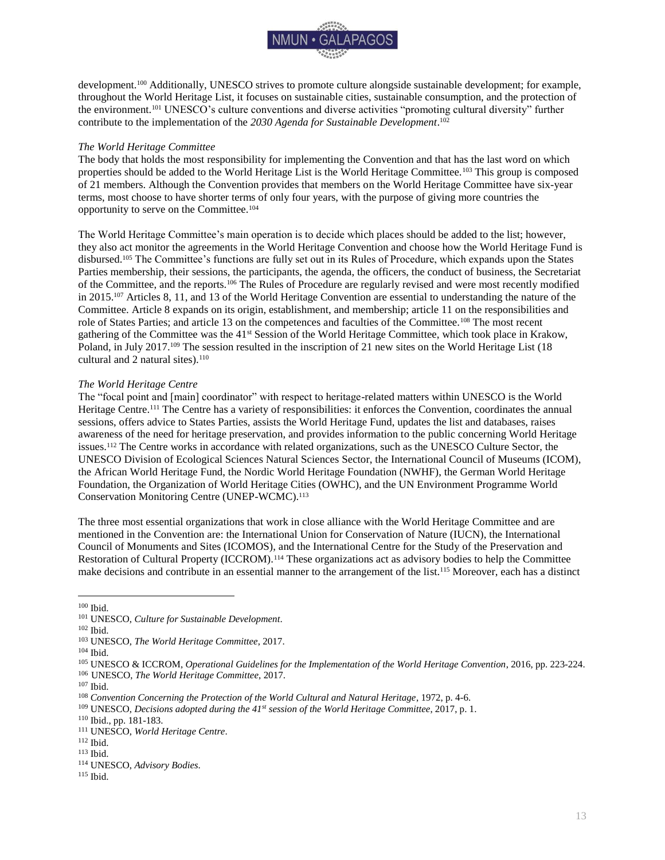

development.<sup>100</sup> Additionally, UNESCO strives to promote culture alongside sustainable development; for example, throughout the World Heritage List, it focuses on sustainable cities, sustainable consumption, and the protection of the environment.<sup>101</sup> UNESCO's culture conventions and diverse activities "promoting cultural diversity" further contribute to the implementation of the *2030 Agenda for Sustainable Development*. 102

### *The World Heritage Committee*

The body that holds the most responsibility for implementing the Convention and that has the last word on which properties should be added to the World Heritage List is the World Heritage Committee.<sup>103</sup> This group is composed of 21 members. Although the Convention provides that members on the World Heritage Committee have six-year terms, most choose to have shorter terms of only four years, with the purpose of giving more countries the opportunity to serve on the Committee.<sup>104</sup>

The World Heritage Committee's main operation is to decide which places should be added to the list; however, they also act monitor the agreements in the World Heritage Convention and choose how the World Heritage Fund is disbursed.<sup>105</sup> The Committee's functions are fully set out in its Rules of Procedure, which expands upon the States Parties membership, their sessions, the participants, the agenda, the officers, the conduct of business, the Secretariat of the Committee, and the reports.<sup>106</sup> The Rules of Procedure are regularly revised and were most recently modified in 2015.<sup>107</sup> Articles 8, 11, and 13 of the World Heritage Convention are essential to understanding the nature of the Committee. Article 8 expands on its origin, establishment, and membership; article 11 on the responsibilities and role of States Parties; and article 13 on the competences and faculties of the Committee.<sup>108</sup> The most recent gathering of the Committee was the 41st Session of the World Heritage Committee, which took place in Krakow, Poland, in July 2017.<sup>109</sup> The session resulted in the inscription of 21 new sites on the World Heritage List (18 cultural and  $2$  natural sites).<sup>110</sup>

### *The World Heritage Centre*

The "focal point and [main] coordinator" with respect to heritage-related matters within UNESCO is the World Heritage Centre.<sup>111</sup> The Centre has a variety of responsibilities: it enforces the Convention, coordinates the annual sessions, offers advice to States Parties, assists the World Heritage Fund, updates the list and databases, raises awareness of the need for heritage preservation, and provides information to the public concerning World Heritage issues.<sup>112</sup> The Centre works in accordance with related organizations, such as the UNESCO Culture Sector, the UNESCO Division of Ecological Sciences Natural Sciences Sector, the International Council of Museums (ICOM), the African World Heritage Fund, the Nordic World Heritage Foundation (NWHF), the German World Heritage Foundation, the Organization of World Heritage Cities (OWHC), and the UN Environment Programme World Conservation Monitoring Centre (UNEP-WCMC).<sup>113</sup>

The three most essential organizations that work in close alliance with the World Heritage Committee and are mentioned in the Convention are: the International Union for Conservation of Nature (IUCN), the International Council of Monuments and Sites (ICOMOS), and the International Centre for the Study of the Preservation and Restoration of Cultural Property (ICCROM).<sup>114</sup> These organizations act as advisory bodies to help the Committee make decisions and contribute in an essential manner to the arrangement of the list.<sup>115</sup> Moreover, each has a distinct

 $\overline{a}$ <sup>100</sup> Ibid.

<sup>101</sup> UNESCO, *Culture for Sustainable Development*.

<sup>102</sup> Ibid.

<sup>103</sup> UNESCO, *The World Heritage Committee*, 2017.

 $^{104}$  Ibid.

<sup>105</sup> UNESCO & ICCROM, *Operational Guidelines for the Implementation of the World Heritage Convention*, 2016, pp. 223-224.

<sup>106</sup> UNESCO, *The World Heritage Committee*, 2017.

<sup>107</sup> Ibid.

<sup>108</sup> *Convention Concerning the Protection of the World Cultural and Natural Heritage*, 1972, p. 4-6.

<sup>109</sup> UNESCO, *Decisions adopted during the 41st session of the World Heritage Committee*, 2017, p. 1.

<sup>110</sup> Ibid., pp. 181-183.

<sup>111</sup> UNESCO, *World Heritage Centre*.

<sup>112</sup> Ibid.

<sup>113</sup> Ibid.

<sup>114</sup> UNESCO, *Advisory Bodies*.

<sup>115</sup> Ibid.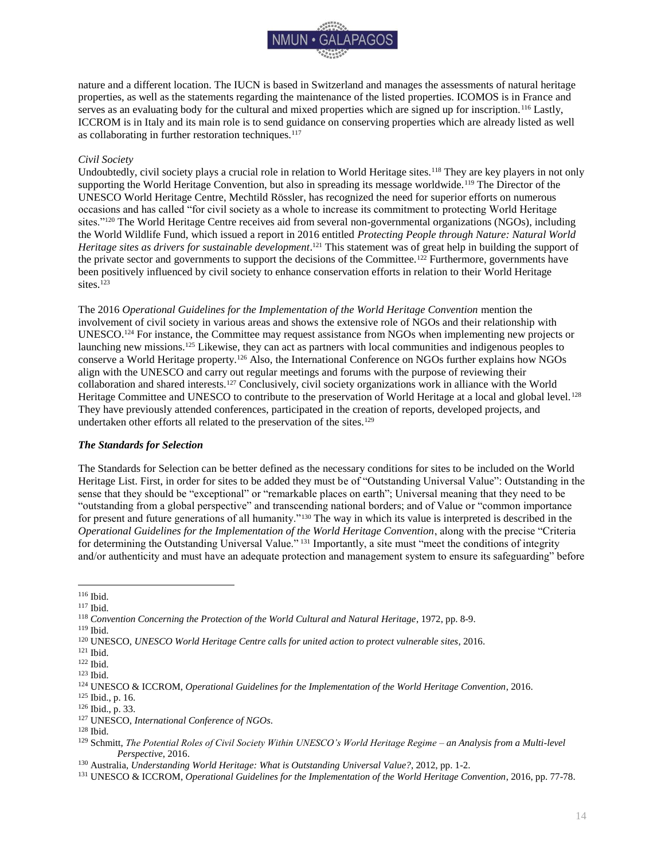

nature and a different location. The IUCN is based in Switzerland and manages the assessments of natural heritage properties, as well as the statements regarding the maintenance of the listed properties. ICOMOS is in France and serves as an evaluating body for the cultural and mixed properties which are signed up for inscription.<sup>116</sup> Lastly, ICCROM is in Italy and its main role is to send guidance on conserving properties which are already listed as well as collaborating in further restoration techniques.<sup>117</sup>

### *Civil Society*

Undoubtedly, civil society plays a crucial role in relation to World Heritage sites.<sup>118</sup> They are key players in not only supporting the World Heritage Convention, but also in spreading its message worldwide.<sup>119</sup> The Director of the UNESCO World Heritage Centre, Mechtild Rössler, has recognized the need for superior efforts on numerous occasions and has called "for civil society as a whole to increase its commitment to protecting World Heritage sites."<sup>120</sup> The World Heritage Centre receives aid from several non-governmental organizations (NGOs), including the World Wildlife Fund, which issued a report in 2016 entitled *Protecting People through Nature: Natural World Heritage sites as drivers for sustainable development*. <sup>121</sup> This statement was of great help in building the support of the private sector and governments to support the decisions of the Committee.<sup>122</sup> Furthermore, governments have been positively influenced by civil society to enhance conservation efforts in relation to their World Heritage sites.<sup>123</sup>

The 2016 *Operational Guidelines for the Implementation of the World Heritage Convention* mention the involvement of civil society in various areas and shows the extensive role of NGOs and their relationship with UNESCO.<sup>124</sup> For instance, the Committee may request assistance from NGOs when implementing new projects or launching new missions.<sup>125</sup> Likewise, they can act as partners with local communities and indigenous peoples to conserve a World Heritage property.<sup>126</sup> Also, the International Conference on NGOs further explains how NGOs align with the UNESCO and carry out regular meetings and forums with the purpose of reviewing their collaboration and shared interests.<sup>127</sup> Conclusively, civil society organizations work in alliance with the World Heritage Committee and UNESCO to contribute to the preservation of World Heritage at a local and global level.<sup>128</sup> They have previously attended conferences, participated in the creation of reports, developed projects, and undertaken other efforts all related to the preservation of the sites.<sup>129</sup>

### <span id="page-14-0"></span>*The Standards for Selection*

The Standards for Selection can be better defined as the necessary conditions for sites to be included on the World Heritage List. First, in order for sites to be added they must be of "Outstanding Universal Value": Outstanding in the sense that they should be "exceptional" or "remarkable places on earth"; Universal meaning that they need to be "outstanding from a global perspective" and transcending national borders; and of Value or "common importance for present and future generations of all humanity."<sup>130</sup> The way in which its value is interpreted is described in the *Operational Guidelines for the Implementation of the World Heritage Convention*, along with the precise "Criteria for determining the Outstanding Universal Value." <sup>131</sup> Importantly, a site must "meet the conditions of integrity and/or authenticity and must have an adequate protection and management system to ensure its safeguarding" before

<sup>116</sup> Ibid.

<sup>117</sup> Ibid.

<sup>118</sup> *Convention Concerning the Protection of the World Cultural and Natural Heritage*, 1972, pp. 8-9.

<sup>119</sup> Ibid.

<sup>120</sup> UNESCO, *UNESCO World Heritage Centre calls for united action to protect vulnerable sites*, 2016.

<sup>121</sup> Ibid.

<sup>122</sup> Ibid.

<sup>123</sup> Ibid.

<sup>124</sup> UNESCO & ICCROM, *Operational Guidelines for the Implementation of the World Heritage Convention*, 2016.

<sup>125</sup> Ibid., p. 16.

<sup>126</sup> Ibid., p. 33.

<sup>127</sup> UNESCO, *International Conference of NGOs*.

<sup>128</sup> Ibid.

<sup>129</sup> Schmitt, *The Potential Roles of Civil Society Within UNESCO's World Heritage Regime – an Analysis from a Multi-level Perspective*, 2016.

<sup>130</sup> Australia, *Understanding World Heritage: What is Outstanding Universal Value?*, 2012, pp. 1-2.

<sup>131</sup> UNESCO & ICCROM, *Operational Guidelines for the Implementation of the World Heritage Convention*, 2016, pp. 77-78.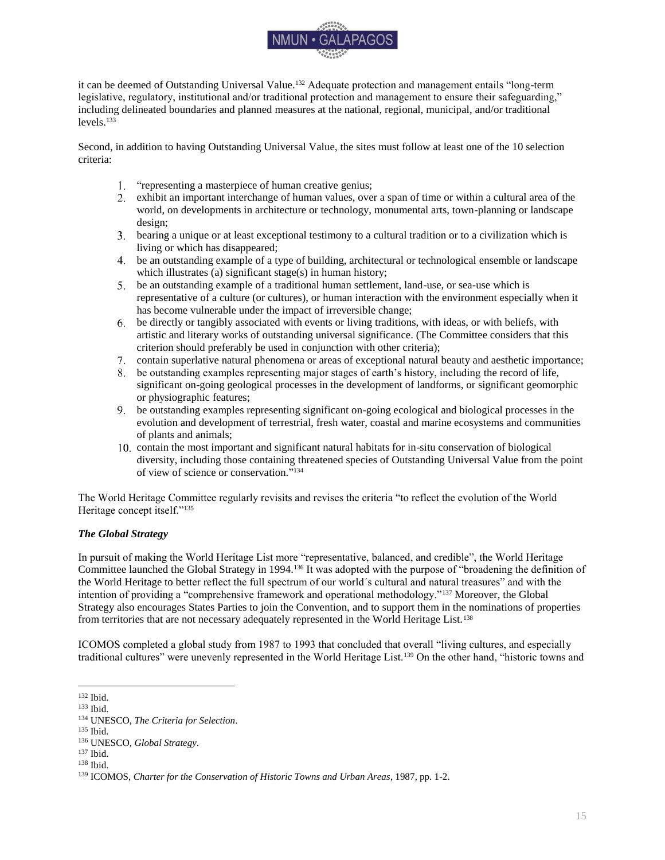

it can be deemed of Outstanding Universal Value.<sup>132</sup> Adequate protection and management entails "long-term legislative, regulatory, institutional and/or traditional protection and management to ensure their safeguarding," including delineated boundaries and planned measures at the national, regional, municipal, and/or traditional levels.<sup>133</sup>

Second, in addition to having Outstanding Universal Value, the sites must follow at least one of the 10 selection criteria:

- 1. "representing a masterpiece of human creative genius;
- exhibit an important interchange of human values, over a span of time or within a cultural area of the world, on developments in architecture or technology, monumental arts, town-planning or landscape design;
- bearing a unique or at least exceptional testimony to a cultural tradition or to a civilization which is living or which has disappeared;
- be an outstanding example of a type of building, architectural or technological ensemble or landscape which illustrates (a) significant stage(s) in human history;
- be an outstanding example of a traditional human settlement, land-use, or sea-use which is representative of a culture (or cultures), or human interaction with the environment especially when it has become vulnerable under the impact of irreversible change;
- be directly or tangibly associated with events or living traditions, with ideas, or with beliefs, with artistic and literary works of outstanding universal significance. (The Committee considers that this criterion should preferably be used in conjunction with other criteria);
- contain superlative natural phenomena or areas of exceptional natural beauty and aesthetic importance;
- be outstanding examples representing major stages of earth's history, including the record of life, significant on-going geological processes in the development of landforms, or significant geomorphic or physiographic features;
- be outstanding examples representing significant on-going ecological and biological processes in the evolution and development of terrestrial, fresh water, coastal and marine ecosystems and communities of plants and animals;
- contain the most important and significant natural habitats for in-situ conservation of biological diversity, including those containing threatened species of Outstanding Universal Value from the point of view of science or conservation." 134

The World Heritage Committee regularly revisits and revises the criteria "to reflect the evolution of the World Heritage concept itself."<sup>135</sup>

### <span id="page-15-0"></span>*The Global Strategy*

In pursuit of making the World Heritage List more "representative, balanced, and credible", the World Heritage Committee launched the Global Strategy in 1994.<sup>136</sup> It was adopted with the purpose of "broadening the definition of the World Heritage to better reflect the full spectrum of our world´s cultural and natural treasures" and with the intention of providing a "comprehensive framework and operational methodology."<sup>137</sup> Moreover, the Global Strategy also encourages States Parties to join the Convention, and to support them in the nominations of properties from territories that are not necessary adequately represented in the World Heritage List.<sup>138</sup>

ICOMOS completed a global study from 1987 to 1993 that concluded that overall "living cultures, and especially traditional cultures" were unevenly represented in the World Heritage List.<sup>139</sup> On the other hand, "historic towns and

 $\overline{a}$ <sup>132</sup> Ibid.

<sup>133</sup> Ibid.

<sup>134</sup> UNESCO, *The Criteria for Selection*.

<sup>135</sup> Ibid.

<sup>136</sup> UNESCO, *Global Strategy*.

<sup>137</sup> Ibid.

<sup>138</sup> Ibid.

<sup>139</sup> ICOMOS, *Charter for the Conservation of Historic Towns and Urban Areas*, 1987, pp. 1-2.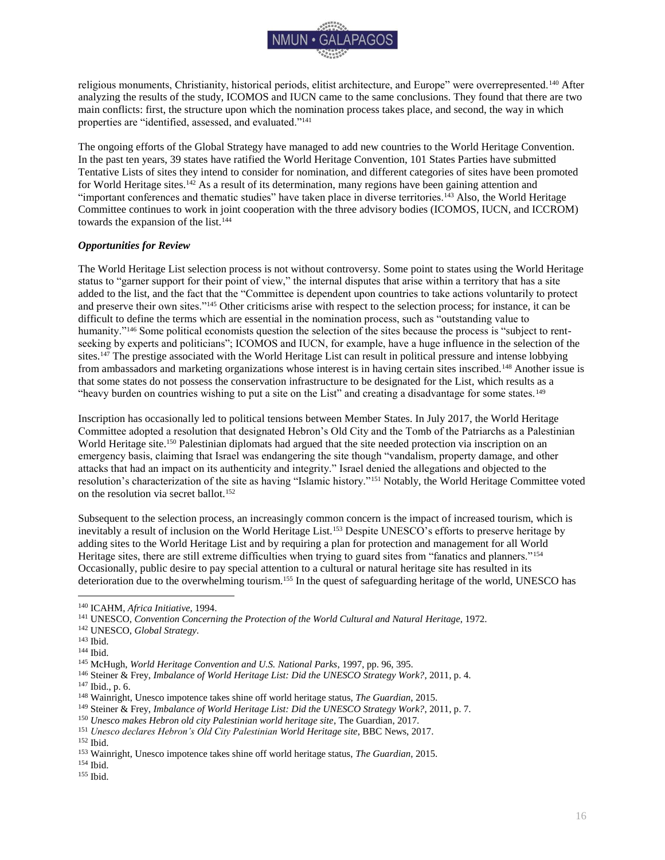

religious monuments, Christianity, historical periods, elitist architecture, and Europe" were overrepresented.<sup>140</sup> After analyzing the results of the study, ICOMOS and IUCN came to the same conclusions. They found that there are two main conflicts: first, the structure upon which the nomination process takes place, and second, the way in which properties are "identified, assessed, and evaluated."<sup>141</sup>

The ongoing efforts of the Global Strategy have managed to add new countries to the World Heritage Convention. In the past ten years, 39 states have ratified the World Heritage Convention, 101 States Parties have submitted Tentative Lists of sites they intend to consider for nomination, and different categories of sites have been promoted for World Heritage sites.<sup>142</sup> As a result of its determination, many regions have been gaining attention and "important conferences and thematic studies" have taken place in diverse territories.<sup>143</sup> Also, the World Heritage Committee continues to work in joint cooperation with the three advisory bodies (ICOMOS, IUCN, and ICCROM) towards the expansion of the list.<sup>144</sup>

### <span id="page-16-0"></span>*Opportunities for Review*

The World Heritage List selection process is not without controversy. Some point to states using the World Heritage status to "garner support for their point of view," the internal disputes that arise within a territory that has a site added to the list, and the fact that the "Committee is dependent upon countries to take actions voluntarily to protect and preserve their own sites."<sup>145</sup> Other criticisms arise with respect to the selection process; for instance, it can be difficult to define the terms which are essential in the nomination process, such as "outstanding value to humanity."<sup>146</sup> Some political economists question the selection of the sites because the process is "subject to rentseeking by experts and politicians"; ICOMOS and IUCN, for example, have a huge influence in the selection of the sites.<sup>147</sup> The prestige associated with the World Heritage List can result in political pressure and intense lobbying from ambassadors and marketing organizations whose interest is in having certain sites inscribed.<sup>148</sup> Another issue is that some states do not possess the conservation infrastructure to be designated for the List, which results as a "heavy burden on countries wishing to put a site on the List" and creating a disadvantage for some states.<sup>149</sup>

Inscription has occasionally led to political tensions between Member States. In July 2017, the World Heritage Committee adopted a resolution that designated Hebron's Old City and the Tomb of the Patriarchs as a Palestinian World Heritage site.<sup>150</sup> Palestinian diplomats had argued that the site needed protection via inscription on an emergency basis, claiming that Israel was endangering the site though "vandalism, property damage, and other attacks that had an impact on its authenticity and integrity." Israel denied the allegations and objected to the resolution's characterization of the site as having "Islamic history."<sup>151</sup> Notably, the World Heritage Committee voted on the resolution via secret ballot.<sup>152</sup>

Subsequent to the selection process, an increasingly common concern is the impact of increased tourism, which is inevitably a result of inclusion on the World Heritage List.<sup>153</sup> Despite UNESCO's efforts to preserve heritage by adding sites to the World Heritage List and by requiring a plan for protection and management for all World Heritage sites, there are still extreme difficulties when trying to guard sites from "fanatics and planners."<sup>154</sup> Occasionally, public desire to pay special attention to a cultural or natural heritage site has resulted in its deterioration due to the overwhelming tourism.<sup>155</sup> In the quest of safeguarding heritage of the world, UNESCO has

<sup>140</sup> ICAHM, *Africa Initiative*, 1994.

<sup>141</sup> UNESCO, *Convention Concerning the Protection of the World Cultural and Natural Heritage*, 1972.

<sup>142</sup> UNESCO, *Global Strategy*.

 $^{143}$  Ibid.

 $^{144}$  Ibid.

<sup>145</sup> McHugh, *World Heritage Convention and U.S. National Parks*, 1997, pp. 96, 395.

<sup>146</sup> Steiner & Frey, *Imbalance of World Heritage List: Did the UNESCO Strategy Work?*, 2011, p. 4.

<sup>147</sup> Ibid., p. 6.

<sup>148</sup> Wainright, Unesco impotence takes shine off world heritage status, *The Guardian*, 2015.

<sup>149</sup> Steiner & Frey, *Imbalance of World Heritage List: Did the UNESCO Strategy Work?*, 2011, p. 7.

<sup>150</sup> *Unesco makes Hebron old city Palestinian world heritage site*, The Guardian, 2017.

<sup>151</sup> *Unesco declares Hebron's Old City Palestinian World Heritage site*, BBC News, 2017. <sup>152</sup> Ibid.

<sup>153</sup> Wainright, Unesco impotence takes shine off world heritage status, *The Guardian*, 2015.

<sup>154</sup> Ibid.

<sup>155</sup> Ibid.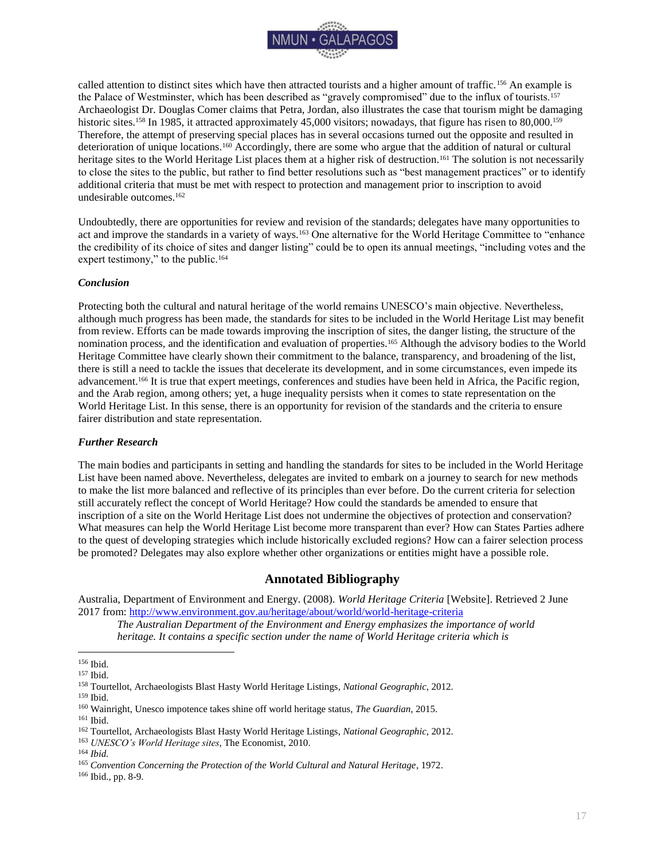

called attention to distinct sites which have then attracted tourists and a higher amount of traffic.<sup>156</sup> An example is the Palace of Westminster, which has been described as "gravely compromised" due to the influx of tourists.<sup>157</sup> Archaeologist Dr. Douglas Comer claims that Petra, Jordan, also illustrates the case that tourism might be damaging historic sites.<sup>158</sup> In 1985, it attracted approximately 45,000 visitors; nowadays, that figure has risen to 80,000.<sup>159</sup> Therefore, the attempt of preserving special places has in several occasions turned out the opposite and resulted in deterioration of unique locations.<sup>160</sup> Accordingly, there are some who argue that the addition of natural or cultural heritage sites to the World Heritage List places them at a higher risk of destruction.<sup>161</sup> The solution is not necessarily to close the sites to the public, but rather to find better resolutions such as "best management practices" or to identify additional criteria that must be met with respect to protection and management prior to inscription to avoid undesirable outcomes.<sup>162</sup>

Undoubtedly, there are opportunities for review and revision of the standards; delegates have many opportunities to act and improve the standards in a variety of ways.<sup>163</sup> One alternative for the World Heritage Committee to "enhance the credibility of its choice of sites and danger listing" could be to open its annual meetings, "including votes and the expert testimony," to the public.<sup>164</sup>

### <span id="page-17-0"></span>*Conclusion*

Protecting both the cultural and natural heritage of the world remains UNESCO's main objective. Nevertheless, although much progress has been made, the standards for sites to be included in the World Heritage List may benefit from review. Efforts can be made towards improving the inscription of sites, the danger listing, the structure of the nomination process, and the identification and evaluation of properties.<sup>165</sup> Although the advisory bodies to the World Heritage Committee have clearly shown their commitment to the balance, transparency, and broadening of the list, there is still a need to tackle the issues that decelerate its development, and in some circumstances, even impede its advancement.<sup>166</sup> It is true that expert meetings, conferences and studies have been held in Africa, the Pacific region, and the Arab region, among others; yet, a huge inequality persists when it comes to state representation on the World Heritage List. In this sense, there is an opportunity for revision of the standards and the criteria to ensure fairer distribution and state representation.

### <span id="page-17-1"></span>*Further Research*

The main bodies and participants in setting and handling the standards for sites to be included in the World Heritage List have been named above. Nevertheless, delegates are invited to embark on a journey to search for new methods to make the list more balanced and reflective of its principles than ever before. Do the current criteria for selection still accurately reflect the concept of World Heritage? How could the standards be amended to ensure that inscription of a site on the World Heritage List does not undermine the objectives of protection and conservation? What measures can help the World Heritage List become more transparent than ever? How can States Parties adhere to the quest of developing strategies which include historically excluded regions? How can a fairer selection process be promoted? Delegates may also explore whether other organizations or entities might have a possible role.

### **Annotated Bibliography**

<span id="page-17-2"></span>Australia, Department of Environment and Energy. (2008). *World Heritage Criteria* [Website]. Retrieved 2 June 2017 from:<http://www.environment.gov.au/heritage/about/world/world-heritage-criteria>

*The Australian Department of the Environment and Energy emphasizes the importance of world heritage. It contains a specific section under the name of World Heritage criteria which is* 

<sup>156</sup> Ibid.

<sup>157</sup> Ibid.

<sup>158</sup> Tourtellot, Archaeologists Blast Hasty World Heritage Listings, *National Geographic*, 2012.

<sup>159</sup> Ibid.

<sup>160</sup> Wainright, Unesco impotence takes shine off world heritage status, *The Guardian*, 2015.

<sup>161</sup> Ibid.

<sup>162</sup> Tourtellot, Archaeologists Blast Hasty World Heritage Listings, *National Geographic*, 2012.

<sup>163</sup> *UNESCO's World Heritage sites*, The Economist, 2010.

<sup>164</sup> *Ibid.*

<sup>165</sup> *Convention Concerning the Protection of the World Cultural and Natural Heritage*, 1972.

<sup>166</sup> Ibid., pp. 8-9.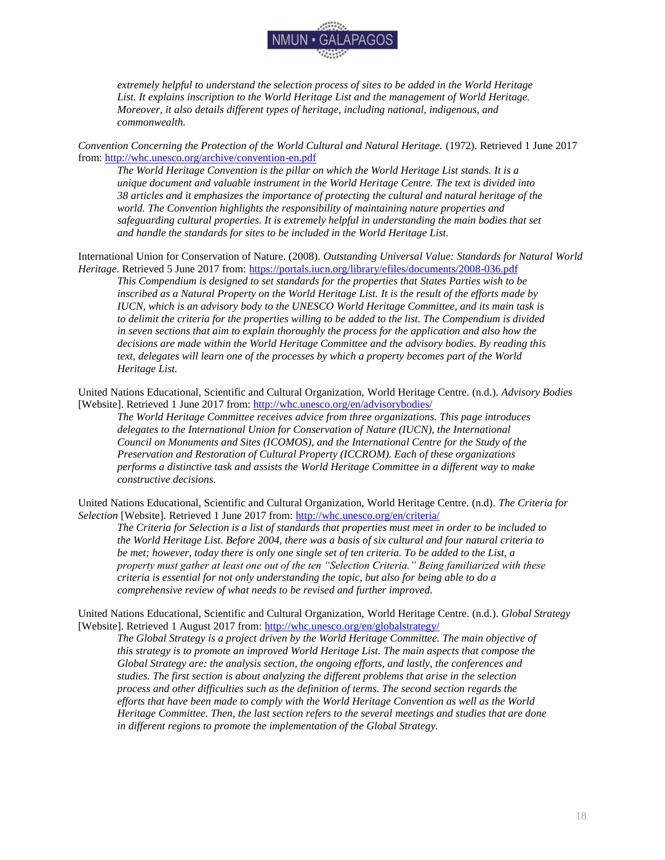

*extremely helpful to understand the selection process of sites to be added in the World Heritage List. It explains inscription to the World Heritage List and the management of World Heritage. Moreover, it also details different types of heritage, including national, indigenous, and commonwealth.* 

*Convention Concerning the Protection of the World Cultural and Natural Heritage.* (1972). Retrieved 1 June 2017 from[: http://whc.unesco.org/archive/convention-en.pdf](http://whc.unesco.org/archive/convention-en.pdf)

*The World Heritage Convention is the pillar on which the World Heritage List stands. It is a unique document and valuable instrument in the World Heritage Centre. The text is divided into 38 articles and it emphasizes the importance of protecting the cultural and natural heritage of the world. The Convention highlights the responsibility of maintaining nature properties and*  safeguarding cultural properties. It is extremely helpful in understanding the main bodies that set *and handle the standards for sites to be included in the World Heritage List.* 

International Union for Conservation of Nature. (2008). *Outstanding Universal Value: Standards for Natural World Heritage*. Retrieved 5 June 2017 from:<https://portals.iucn.org/library/efiles/documents/2008-036.pdf>

*This Compendium is designed to set standards for the properties that States Parties wish to be inscribed as a Natural Property on the World Heritage List. It is the result of the efforts made by IUCN, which is an advisory body to the UNESCO World Heritage Committee, and its main task is to delimit the criteria for the properties willing to be added to the list. The Compendium is divided in seven sections that aim to explain thoroughly the process for the application and also how the decisions are made within the World Heritage Committee and the advisory bodies. By reading this text, delegates will learn one of the processes by which a property becomes part of the World Heritage List.* 

United Nations Educational, Scientific and Cultural Organization, World Heritage Centre. (n.d.). *Advisory Bodies*  [Website]. Retrieved 1 June 2017 from:<http://whc.unesco.org/en/advisorybodies/>

*The World Heritage Committee receives advice from three organizations. This page introduces delegates to the International Union for Conservation of Nature (IUCN), the International Council on Monuments and Sites (ICOMOS), and the International Centre for the Study of the Preservation and Restoration of Cultural Property (ICCROM). Each of these organizations performs a distinctive task and assists the World Heritage Committee in a different way to make constructive decisions.* 

United Nations Educational, Scientific and Cultural Organization, World Heritage Centre. (n.d). *The Criteria for Selection* [Website]*.* Retrieved 1 June 2017 from:<http://whc.unesco.org/en/criteria/>

*The Criteria for Selection is a list of standards that properties must meet in order to be included to the World Heritage List. Before 2004, there was a basis of six cultural and four natural criteria to be met; however, today there is only one single set of ten criteria. To be added to the List, a property must gather at least one out of the ten "Selection Criteria." Being familiarized with these criteria is essential for not only understanding the topic, but also for being able to do a comprehensive review of what needs to be revised and further improved.*

United Nations Educational, Scientific and Cultural Organization, World Heritage Centre. (n.d.). *Global Strategy*  [Website]. Retrieved 1 August 2017 from:<http://whc.unesco.org/en/globalstrategy/>

*The Global Strategy is a project driven by the World Heritage Committee. The main objective of this strategy is to promote an improved World Heritage List. The main aspects that compose the Global Strategy are: the analysis section, the ongoing efforts, and lastly, the conferences and studies. The first section is about analyzing the different problems that arise in the selection process and other difficulties such as the definition of terms. The second section regards the efforts that have been made to comply with the World Heritage Convention as well as the World Heritage Committee. Then, the last section refers to the several meetings and studies that are done in different regions to promote the implementation of the Global Strategy.*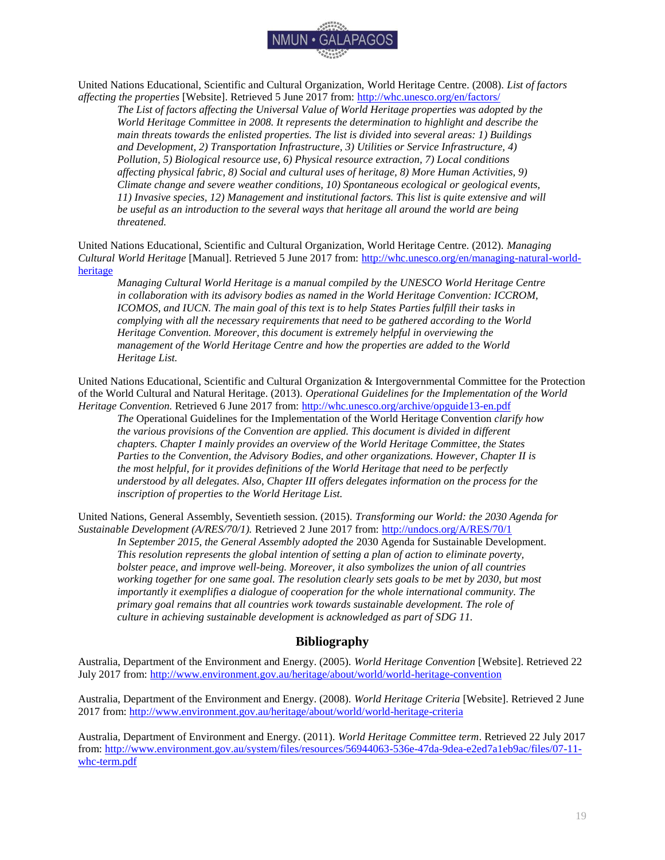

United Nations Educational, Scientific and Cultural Organization, World Heritage Centre. (2008). *List of factors affecting the properties* [Website]. Retrieved 5 June 2017 from:<http://whc.unesco.org/en/factors/>

*The List of factors affecting the Universal Value of World Heritage properties was adopted by the World Heritage Committee in 2008. It represents the determination to highlight and describe the main threats towards the enlisted properties. The list is divided into several areas: 1) Buildings and Development, 2) Transportation Infrastructure, 3) Utilities or Service Infrastructure, 4) Pollution, 5) Biological resource use, 6) Physical resource extraction, 7) Local conditions affecting physical fabric, 8) Social and cultural uses of heritage, 8) More Human Activities, 9) Climate change and severe weather conditions, 10) Spontaneous ecological or geological events, 11) Invasive species, 12) Management and institutional factors. This list is quite extensive and will be useful as an introduction to the several ways that heritage all around the world are being threatened.* 

United Nations Educational, Scientific and Cultural Organization, World Heritage Centre. (2012). *Managing Cultural World Heritage* [Manual]. Retrieved 5 June 2017 from: [http://whc.unesco.org/en/managing-natural-world](http://whc.unesco.org/en/managing-natural-world-heritage)[heritage](http://whc.unesco.org/en/managing-natural-world-heritage)

*Managing Cultural World Heritage is a manual compiled by the UNESCO World Heritage Centre in collaboration with its advisory bodies as named in the World Heritage Convention: ICCROM, ICOMOS, and IUCN. The main goal of this text is to help States Parties fulfill their tasks in complying with all the necessary requirements that need to be gathered according to the World Heritage Convention. Moreover, this document is extremely helpful in overviewing the management of the World Heritage Centre and how the properties are added to the World Heritage List.* 

United Nations Educational, Scientific and Cultural Organization & Intergovernmental Committee for the Protection of the World Cultural and Natural Heritage. (2013)*. Operational Guidelines for the Implementation of the World Heritage Convention.* Retrieved 6 June 2017 from:<http://whc.unesco.org/archive/opguide13-en.pdf>

*The* Operational Guidelines for the Implementation of the World Heritage Convention *clarify how the various provisions of the Convention are applied. This document is divided in different chapters. Chapter I mainly provides an overview of the World Heritage Committee, the States Parties to the Convention, the Advisory Bodies, and other organizations. However, Chapter II is the most helpful, for it provides definitions of the World Heritage that need to be perfectly understood by all delegates. Also, Chapter III offers delegates information on the process for the inscription of properties to the World Heritage List.* 

United Nations, General Assembly, Seventieth session. (2015). *Transforming our World: the 2030 Agenda for Sustainable Development (A/RES/70/1).* Retrieved 2 June 2017 from[: http://undocs.org/A/RES/70/1](http://undocs.org/A/RES/70/1)

*In September 2015, the General Assembly adopted the* 2030 Agenda for Sustainable Development*. This resolution represents the global intention of setting a plan of action to eliminate poverty, bolster peace, and improve well-being. Moreover, it also symbolizes the union of all countries working together for one same goal. The resolution clearly sets goals to be met by 2030, but most importantly it exemplifies a dialogue of cooperation for the whole international community. The primary goal remains that all countries work towards sustainable development. The role of culture in achieving sustainable development is acknowledged as part of SDG 11.*

### **Bibliography**

<span id="page-19-0"></span>Australia, Department of the Environment and Energy. (2005). *World Heritage Convention* [Website]. Retrieved 22 July 2017 from:<http://www.environment.gov.au/heritage/about/world/world-heritage-convention>

Australia, Department of the Environment and Energy. (2008). *World Heritage Criteria* [Website]. Retrieved 2 June 2017 from:<http://www.environment.gov.au/heritage/about/world/world-heritage-criteria>

Australia, Department of Environment and Energy. (2011). *World Heritage Committee term*. Retrieved 22 July 2017 from[: http://www.environment.gov.au/system/files/resources/56944063-536e-47da-9dea-e2ed7a1eb9ac/files/07-11](http://www.environment.gov.au/system/files/resources/56944063-536e-47da-9dea-e2ed7a1eb9ac/files/07-11-whc-term.pdf) [whc-term.pdf](http://www.environment.gov.au/system/files/resources/56944063-536e-47da-9dea-e2ed7a1eb9ac/files/07-11-whc-term.pdf)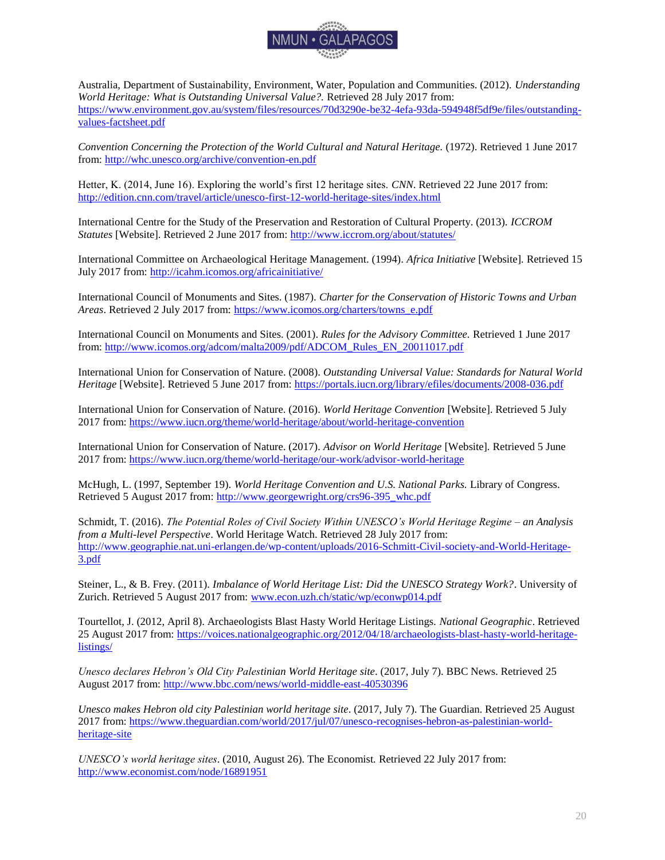

Australia, Department of Sustainability, Environment, Water, Population and Communities. (2012). *Understanding World Heritage: What is Outstanding Universal Value?.* Retrieved 28 July 2017 from: [https://www.environment.gov.au/system/files/resources/70d3290e-be32-4efa-93da-594948f5df9e/files/outstanding](https://www.environment.gov.au/system/files/resources/70d3290e-be32-4efa-93da-594948f5df9e/files/outstanding-values-factsheet.pdf)[values-factsheet.pdf](https://www.environment.gov.au/system/files/resources/70d3290e-be32-4efa-93da-594948f5df9e/files/outstanding-values-factsheet.pdf)

*Convention Concerning the Protection of the World Cultural and Natural Heritage.* (1972). Retrieved 1 June 2017 from[: http://whc.unesco.org/archive/convention-en.pdf](http://whc.unesco.org/archive/convention-en.pdf)

Hetter, K. (2014, June 16). Exploring the world's first 12 heritage sites. *CNN*. Retrieved 22 June 2017 from: <http://edition.cnn.com/travel/article/unesco-first-12-world-heritage-sites/index.html>

International Centre for the Study of the Preservation and Restoration of Cultural Property. (2013). *ICCROM Statutes* [Website]. Retrieved 2 June 2017 from:<http://www.iccrom.org/about/statutes/>

International Committee on Archaeological Heritage Management. (1994). *Africa Initiative* [Website]*.* Retrieved 15 July 2017 from:<http://icahm.icomos.org/africainitiative/>

International Council of Monuments and Sites. (1987). *Charter for the Conservation of Historic Towns and Urban Areas*. Retrieved 2 July 2017 from: [https://www.icomos.org/charters/towns\\_e.pdf](https://www.icomos.org/charters/towns_e.pdf)

International Council on Monuments and Sites. (2001). *Rules for the Advisory Committee.* Retrieved 1 June 2017 from[: http://www.icomos.org/adcom/malta2009/pdf/ADCOM\\_Rules\\_EN\\_20011017.pdf](http://www.icomos.org/adcom/malta2009/pdf/ADCOM_Rules_EN_20011017.pdf)

International Union for Conservation of Nature. (2008). *Outstanding Universal Value: Standards for Natural World Heritage* [Website]. Retrieved 5 June 2017 from:<https://portals.iucn.org/library/efiles/documents/2008-036.pdf>

International Union for Conservation of Nature. (2016). *World Heritage Convention* [Website]. Retrieved 5 July 2017 from:<https://www.iucn.org/theme/world-heritage/about/world-heritage-convention>

International Union for Conservation of Nature. (2017). *Advisor on World Heritage* [Website]*.* Retrieved 5 June 2017 from:<https://www.iucn.org/theme/world-heritage/our-work/advisor-world-heritage>

McHugh, L. (1997, September 19). *World Heritage Convention and U.S. National Parks.* Library of Congress. Retrieved 5 August 2017 from: [http://www.georgewright.org/crs96-395\\_whc.pdf](http://www.georgewright.org/crs96-395_whc.pdf)

Schmidt, T. (2016). *The Potential Roles of Civil Society Within UNESCO's World Heritage Regime – an Analysis from a Multi-level Perspective*. World Heritage Watch. Retrieved 28 July 2017 from: [http://www.geographie.nat.uni-erlangen.de/wp-content/uploads/2016-Schmitt-Civil-society-and-World-Heritage-](http://www.geographie.nat.uni-erlangen.de/wp-content/uploads/2016-Schmitt-Civil-society-and-World-Heritage-3.pdf)[3.pdf](http://www.geographie.nat.uni-erlangen.de/wp-content/uploads/2016-Schmitt-Civil-society-and-World-Heritage-3.pdf)

Steiner, L., & B. Frey. (2011). *Imbalance of World Heritage List: Did the UNESCO Strategy Work?*. University of Zurich. Retrieved 5 August 2017 from: [www.econ.uzh.ch/static/wp/econwp014.pdf](http://www.econ.uzh.ch/static/wp/econwp014.pdf)

Tourtellot, J. (2012, April 8). Archaeologists Blast Hasty World Heritage Listings. *National Geographic*. Retrieved 25 August 2017 from: [https://voices.nationalgeographic.org/2012/04/18/archaeologists-blast-hasty-world-heritage](https://voices.nationalgeographic.org/2012/04/18/archaeologists-blast-hasty-world-heritage-listings/)[listings/](https://voices.nationalgeographic.org/2012/04/18/archaeologists-blast-hasty-world-heritage-listings/)

*Unesco declares Hebron's Old City Palestinian World Heritage site*. (2017, July 7). BBC News. Retrieved 25 August 2017 from:<http://www.bbc.com/news/world-middle-east-40530396>

*Unesco makes Hebron old city Palestinian world heritage site*. (2017, July 7). The Guardian. Retrieved 25 August 2017 from: [https://www.theguardian.com/world/2017/jul/07/unesco-recognises-hebron-as-palestinian-world](https://www.theguardian.com/world/2017/jul/07/unesco-recognises-hebron-as-palestinian-world-heritage-site)[heritage-site](https://www.theguardian.com/world/2017/jul/07/unesco-recognises-hebron-as-palestinian-world-heritage-site)

*UNESCO's world heritage sites*. (2010, August 26). The Economist*.* Retrieved 22 July 2017 from: <http://www.economist.com/node/16891951>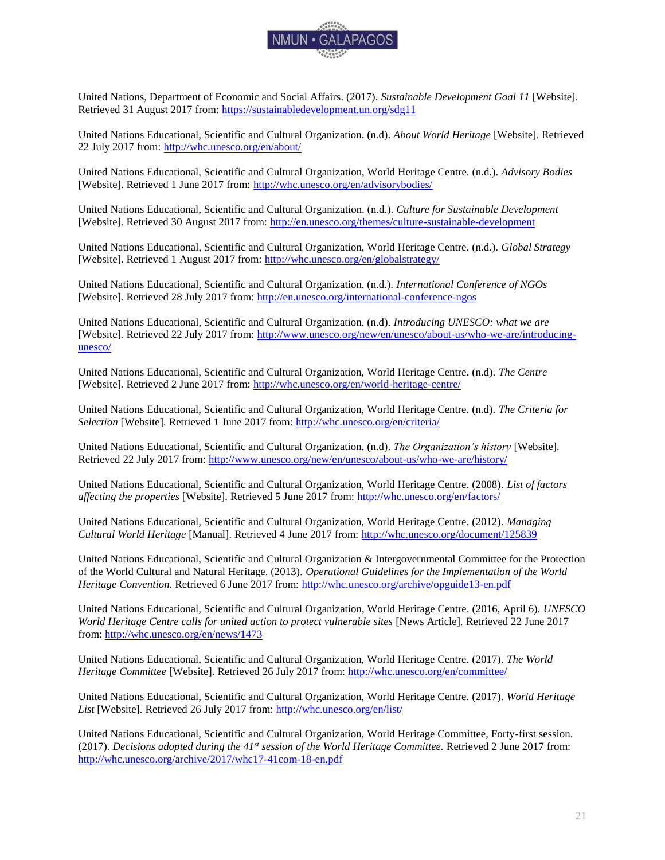

United Nations, Department of Economic and Social Affairs. (2017). *Sustainable Development Goal 11* [Website]. Retrieved 31 August 2017 from:<https://sustainabledevelopment.un.org/sdg11>

United Nations Educational, Scientific and Cultural Organization. (n.d). *About World Heritage* [Website]*.* Retrieved 22 July 2017 from:<http://whc.unesco.org/en/about/>

United Nations Educational, Scientific and Cultural Organization, World Heritage Centre. (n.d.). *Advisory Bodies*  [Website]. Retrieved 1 June 2017 from:<http://whc.unesco.org/en/advisorybodies/>

United Nations Educational, Scientific and Cultural Organization. (n.d.). *Culture for Sustainable Development*  [Website]. Retrieved 30 August 2017 from:<http://en.unesco.org/themes/culture-sustainable-development>

United Nations Educational, Scientific and Cultural Organization, World Heritage Centre. (n.d.). *Global Strategy*  [Website]. Retrieved 1 August 2017 from:<http://whc.unesco.org/en/globalstrategy/>

United Nations Educational, Scientific and Cultural Organization. (n.d.). *International Conference of NGOs*  [Website]*.* Retrieved 28 July 2017 from:<http://en.unesco.org/international-conference-ngos>

United Nations Educational, Scientific and Cultural Organization. (n.d). *Introducing UNESCO: what we are*  [Website]*.* Retrieved 22 July 2017 from: [http://www.unesco.org/new/en/unesco/about-us/who-we-are/introducing](http://www.unesco.org/new/en/unesco/about-us/who-we-are/introducing-unesco/)[unesco/](http://www.unesco.org/new/en/unesco/about-us/who-we-are/introducing-unesco/)

United Nations Educational, Scientific and Cultural Organization, World Heritage Centre. (n.d). *The Centre*  [Website]*.* Retrieved 2 June 2017 from:<http://whc.unesco.org/en/world-heritage-centre/>

United Nations Educational, Scientific and Cultural Organization, World Heritage Centre. (n.d). *The Criteria for Selection* [Website]*.* Retrieved 1 June 2017 from:<http://whc.unesco.org/en/criteria/>

United Nations Educational, Scientific and Cultural Organization. (n.d). *The Organization's history* [Website]*.*  Retrieved 22 July 2017 from:<http://www.unesco.org/new/en/unesco/about-us/who-we-are/history/>

United Nations Educational, Scientific and Cultural Organization, World Heritage Centre. (2008). *List of factors affecting the properties* [Website]. Retrieved 5 June 2017 from:<http://whc.unesco.org/en/factors/>

United Nations Educational, Scientific and Cultural Organization, World Heritage Centre. (2012). *Managing Cultural World Heritage* [Manual]. Retrieved 4 June 2017 from:<http://whc.unesco.org/document/125839>

United Nations Educational, Scientific and Cultural Organization & Intergovernmental Committee for the Protection of the World Cultural and Natural Heritage. (2013)*. Operational Guidelines for the Implementation of the World Heritage Convention.* Retrieved 6 June 2017 from:<http://whc.unesco.org/archive/opguide13-en.pdf>

United Nations Educational, Scientific and Cultural Organization, World Heritage Centre. (2016, April 6). *UNESCO World Heritage Centre calls for united action to protect vulnerable sites [News Article]. Retrieved 22 June 2017* from[: http://whc.unesco.org/en/news/1473](http://whc.unesco.org/en/news/1473)

United Nations Educational, Scientific and Cultural Organization, World Heritage Centre. (2017)*. The World Heritage Committee* [Website]*.* Retrieved 26 July 2017 from:<http://whc.unesco.org/en/committee/>

United Nations Educational, Scientific and Cultural Organization, World Heritage Centre. (2017)*. World Heritage List* [Website]*.* Retrieved 26 July 2017 from:<http://whc.unesco.org/en/list/>

United Nations Educational, Scientific and Cultural Organization, World Heritage Committee, Forty-first session. (2017). *Decisions adopted during the 41st session of the World Heritage Committee.* Retrieved 2 June 2017 from: <http://whc.unesco.org/archive/2017/whc17-41com-18-en.pdf>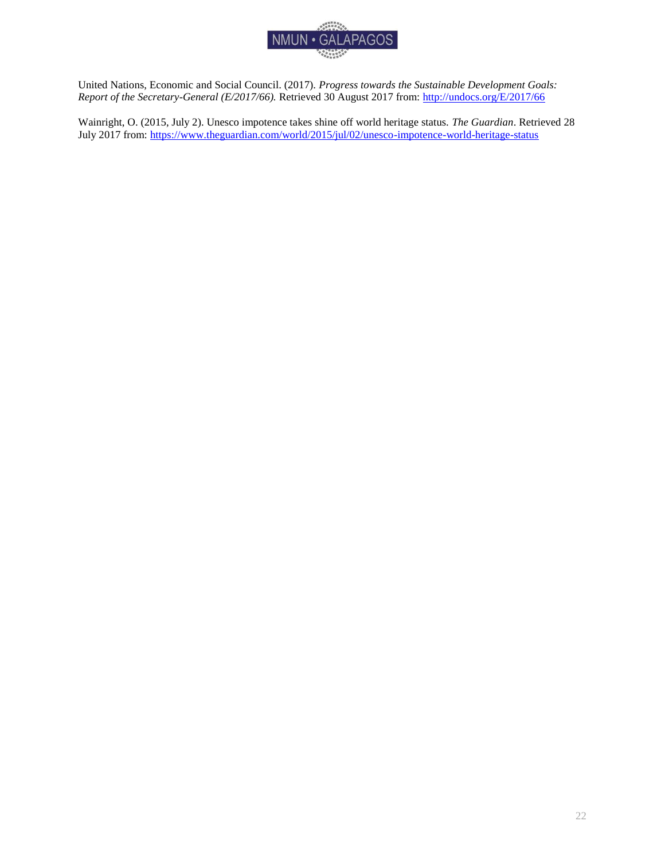

United Nations, Economic and Social Council. (2017). *Progress towards the Sustainable Development Goals: Report of the Secretary-General (E/2017/66).* Retrieved 30 August 2017 from:<http://undocs.org/E/2017/66>

Wainright, O. (2015, July 2). Unesco impotence takes shine off world heritage status. *The Guardian*. Retrieved 28 July 2017 from:<https://www.theguardian.com/world/2015/jul/02/unesco-impotence-world-heritage-status>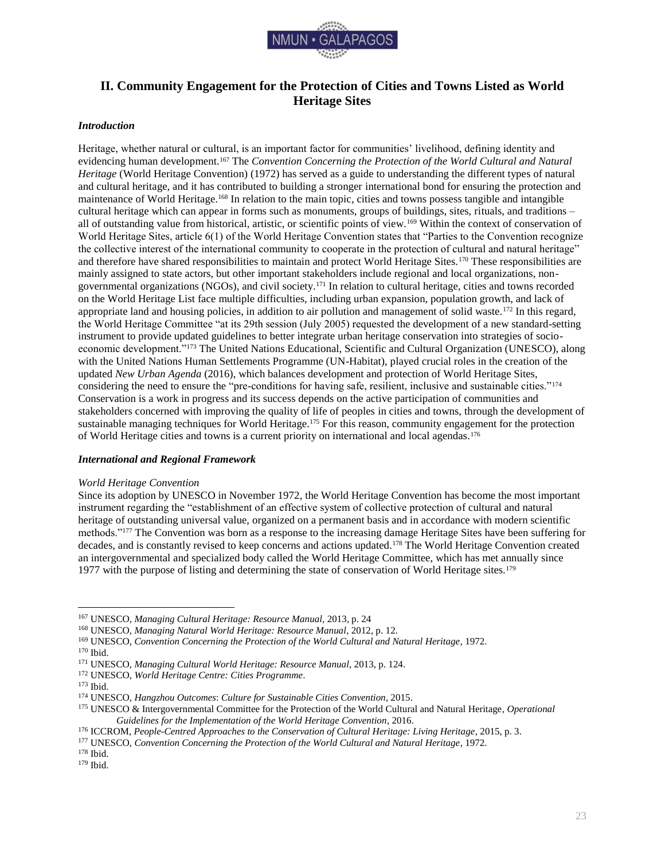

# <span id="page-23-0"></span>**II. Community Engagement for the Protection of Cities and Towns Listed as World Heritage Sites**

### <span id="page-23-1"></span>*Introduction*

Heritage, whether natural or cultural, is an important factor for communities' livelihood, defining identity and evidencing human development.<sup>167</sup> The *Convention Concerning the Protection of the World Cultural and Natural Heritage* (World Heritage Convention) (1972) has served as a guide to understanding the different types of natural and cultural heritage, and it has contributed to building a stronger international bond for ensuring the protection and maintenance of World Heritage.<sup>168</sup> In relation to the main topic, cities and towns possess tangible and intangible cultural heritage which can appear in forms such as monuments, groups of buildings, sites, rituals, and traditions – all of outstanding value from historical, artistic, or scientific points of view.<sup>169</sup> Within the context of conservation of World Heritage Sites, article 6(1) of the World Heritage Convention states that "Parties to the Convention recognize the collective interest of the international community to cooperate in the protection of cultural and natural heritage" and therefore have shared responsibilities to maintain and protect World Heritage Sites.<sup>170</sup> These responsibilities are mainly assigned to state actors, but other important stakeholders include regional and local organizations, nongovernmental organizations (NGOs), and civil society.<sup>171</sup> In relation to cultural heritage, cities and towns recorded on the World Heritage List face multiple difficulties, including urban expansion, population growth, and lack of appropriate land and housing policies, in addition to air pollution and management of solid waste.<sup>172</sup> In this regard, the World Heritage Committee "at its 29th session (July 2005) requested the development of a new standard-setting instrument to provide updated guidelines to better integrate urban heritage conservation into strategies of socioeconomic development."<sup>173</sup> The United Nations Educational, Scientific and Cultural Organization (UNESCO), along with the United Nations Human Settlements Programme (UN-Habitat), played crucial roles in the creation of the updated *New Urban Agenda* (2016), which balances development and protection of World Heritage Sites, considering the need to ensure the "pre-conditions for having safe, resilient, inclusive and sustainable cities."<sup>174</sup> Conservation is a work in progress and its success depends on the active participation of communities and stakeholders concerned with improving the quality of life of peoples in cities and towns, through the development of sustainable managing techniques for World Heritage.<sup>175</sup> For this reason, community engagement for the protection of World Heritage cities and towns is a current priority on international and local agendas.<sup>176</sup>

### <span id="page-23-2"></span>*International and Regional Framework*

#### *World Heritage Convention*

Since its adoption by UNESCO in November 1972, the World Heritage Convention has become the most important instrument regarding the "establishment of an effective system of collective protection of cultural and natural heritage of outstanding universal value, organized on a permanent basis and in accordance with modern scientific methods."<sup>177</sup> The Convention was born as a response to the increasing damage Heritage Sites have been suffering for decades, and is constantly revised to keep concerns and actions updated.<sup>178</sup> The World Heritage Convention created an intergovernmental and specialized body called the World Heritage Committee, which has met annually since 1977 with the purpose of listing and determining the state of conservation of World Heritage sites.<sup>179</sup>

<sup>167</sup> UNESCO, *Managing Cultural Heritage: Resource Manual,* 2013, p. 24

<sup>168</sup> UNESCO, *Managing Natural World Heritage: Resource Manual*, 2012, p. 12.

<sup>169</sup> UNESCO, *Convention Concerning the Protection of the World Cultural and Natural Heritage*, 1972.

<sup>170</sup> Ibid.

<sup>171</sup> UNESCO, *Managing Cultural World Heritage: Resource Manual*, 2013, p. 124.

<sup>172</sup> UNESCO, *World Heritage Centre: Cities Programme*.

<sup>173</sup> Ibid.

<sup>174</sup> UNESCO, *Hangzhou Outcomes*: *Culture for Sustainable Cities Convention*, 2015.

<sup>175</sup> UNESCO & Intergovernmental Committee for the Protection of the World Cultural and Natural Heritage, *Operational Guidelines for the Implementation of the World Heritage Convention*, 2016.

<sup>176</sup> ICCROM, *People-Centred Approaches to the Conservation of Cultural Heritage: Living Heritage,* 2015, p. 3.

<sup>177</sup> UNESCO, *Convention Concerning the Protection of the World Cultural and Natural Heritage*, 1972.

<sup>178</sup> Ibid.

<sup>179</sup> Ibid.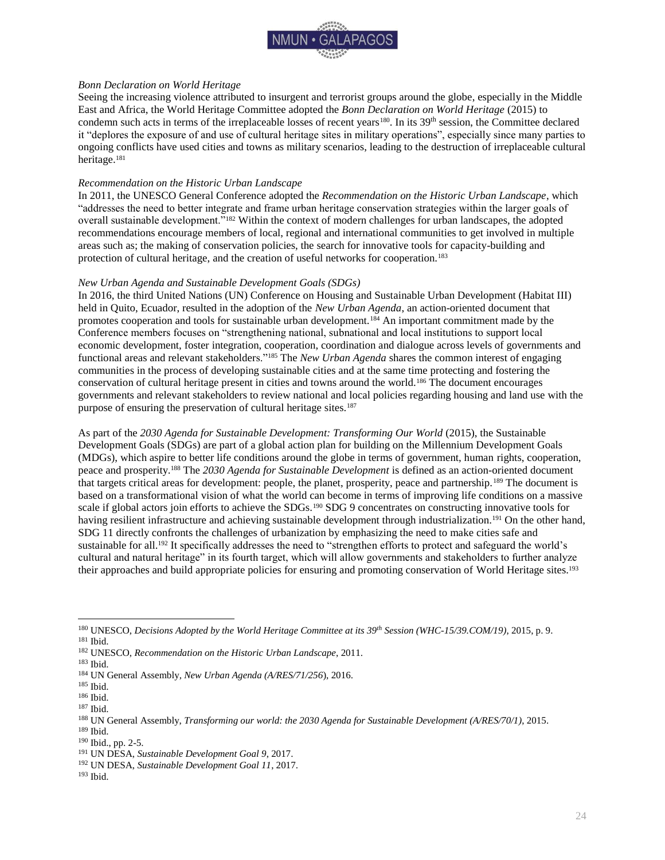

### *Bonn Declaration on World Heritage*

Seeing the increasing violence attributed to insurgent and terrorist groups around the globe, especially in the Middle East and Africa, the World Heritage Committee adopted the *Bonn Declaration on World Heritage* (2015) to condemn such acts in terms of the irreplaceable losses of recent years<sup>180</sup>. In its 39<sup>th</sup> session, the Committee declared it "deplores the exposure of and use of cultural heritage sites in military operations", especially since many parties to ongoing conflicts have used cities and towns as military scenarios, leading to the destruction of irreplaceable cultural heritage.<sup>181</sup>

### *Recommendation on the Historic Urban Landscape*

In 2011, the UNESCO General Conference adopted the *Recommendation on the Historic Urban Landscape*, which "addresses the need to better integrate and frame urban heritage conservation strategies within the larger goals of overall sustainable development."<sup>182</sup> Within the context of modern challenges for urban landscapes, the adopted recommendations encourage members of local, regional and international communities to get involved in multiple areas such as; the making of conservation policies, the search for innovative tools for capacity-building and protection of cultural heritage, and the creation of useful networks for cooperation.<sup>183</sup>

### *New Urban Agenda and Sustainable Development Goals (SDGs)*

In 2016, the third United Nations (UN) Conference on Housing and Sustainable Urban Development (Habitat III) held in Quito, Ecuador, resulted in the adoption of the *New Urban Agenda*, an action-oriented document that promotes cooperation and tools for sustainable urban development.<sup>184</sup> An important commitment made by the Conference members focuses on "strengthening national, subnational and local institutions to support local economic development, foster integration, cooperation, coordination and dialogue across levels of governments and functional areas and relevant stakeholders."<sup>185</sup> The *New Urban Agenda* shares the common interest of engaging communities in the process of developing sustainable cities and at the same time protecting and fostering the conservation of cultural heritage present in cities and towns around the world.<sup>186</sup> The document encourages governments and relevant stakeholders to review national and local policies regarding housing and land use with the purpose of ensuring the preservation of cultural heritage sites.<sup>187</sup>

As part of the 2030 Agenda for Sustainable Development: Transforming Our World (2015), the Sustainable Development Goals (SDGs) are part of a global action plan for building on the Millennium Development Goals (MDGs), which aspire to better life conditions around the globe in terms of government, human rights, cooperation, peace and prosperity.<sup>188</sup> The *2030 Agenda for Sustainable Development* is defined as an action-oriented document that targets critical areas for development: people, the planet, prosperity, peace and partnership.<sup>189</sup> The document is based on a transformational vision of what the world can become in terms of improving life conditions on a massive scale if global actors join efforts to achieve the SDGs.<sup>190</sup> SDG 9 concentrates on constructing innovative tools for having resilient infrastructure and achieving sustainable development through industrialization.<sup>191</sup> On the other hand, SDG 11 directly confronts the challenges of urbanization by emphasizing the need to make cities safe and sustainable for all.<sup>192</sup> It specifically addresses the need to "strengthen efforts to protect and safeguard the world's cultural and natural heritage" in its fourth target, which will allow governments and stakeholders to further analyze their approaches and build appropriate policies for ensuring and promoting conservation of World Heritage sites.<sup>193</sup>

<sup>180</sup> UNESCO, *Decisions Adopted by the World Heritage Committee at its 39th Session (WHC-15/39.COM/19)*, 2015, p. 9.

<sup>181</sup> Ibid.

<sup>182</sup> UNESCO, *Recommendation on the Historic Urban Landscape*, 2011.

<sup>183</sup> Ibid.

<sup>184</sup> UN General Assembly*, New Urban Agenda (A/RES/71/256*), 2016.

<sup>185</sup> Ibid.

<sup>186</sup> Ibid.

<sup>187</sup> Ibid.

<sup>188</sup> UN General Assembly, *Transforming our world: the 2030 Agenda for Sustainable Development (A/RES/70/1)*, 2015. <sup>189</sup> Ibid.

<sup>190</sup> Ibid., pp. 2-5.

<sup>191</sup> UN DESA, *Sustainable Development Goal 9*, 2017.

<sup>192</sup> UN DESA, *Sustainable Development Goal 11*, 2017.

<sup>193</sup> Ibid.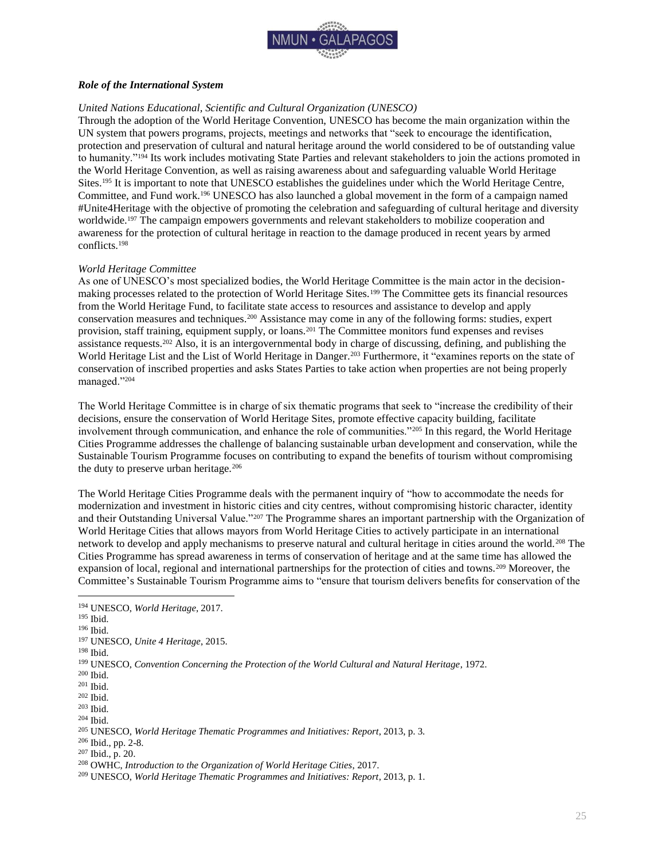

### <span id="page-25-0"></span>*Role of the International System*

### *United Nations Educational, Scientific and Cultural Organization (UNESCO)*

Through the adoption of the World Heritage Convention, UNESCO has become the main organization within the UN system that powers programs, projects, meetings and networks that "seek to encourage the identification, protection and preservation of cultural and natural heritage around the world considered to be of outstanding value to humanity."<sup>194</sup> Its work includes motivating State Parties and relevant stakeholders to join the actions promoted in the World Heritage Convention, as well as raising awareness about and safeguarding valuable World Heritage Sites.<sup>195</sup> It is important to note that UNESCO establishes the guidelines under which the World Heritage Centre, Committee, and Fund work.<sup>196</sup> UNESCO has also launched a global movement in the form of a campaign named #Unite4Heritage with the objective of promoting the celebration and safeguarding of cultural heritage and diversity worldwide.<sup>197</sup> The campaign empowers governments and relevant stakeholders to mobilize cooperation and awareness for the protection of cultural heritage in reaction to the damage produced in recent years by armed conflicts.<sup>198</sup>

### *World Heritage Committee*

As one of UNESCO's most specialized bodies, the World Heritage Committee is the main actor in the decisionmaking processes related to the protection of World Heritage Sites.<sup>199</sup> The Committee gets its financial resources from the World Heritage Fund, to facilitate state access to resources and assistance to develop and apply conservation measures and techniques.<sup>200</sup> Assistance may come in any of the following forms: studies, expert provision, staff training, equipment supply, or loans.<sup>201</sup> The Committee monitors fund expenses and revises assistance requests.<sup>202</sup> Also, it is an intergovernmental body in charge of discussing, defining, and publishing the World Heritage List and the List of World Heritage in Danger.<sup>203</sup> Furthermore, it "examines reports on the state of conservation of inscribed properties and asks States Parties to take action when properties are not being properly managed."<sup>204</sup>

The World Heritage Committee is in charge of six thematic programs that seek to "increase the credibility of their decisions, ensure the conservation of World Heritage Sites, promote effective capacity building, facilitate involvement through communication, and enhance the role of communities."<sup>205</sup> In this regard, the World Heritage Cities Programme addresses the challenge of balancing sustainable urban development and conservation, while the Sustainable Tourism Programme focuses on contributing to expand the benefits of tourism without compromising the duty to preserve urban heritage.<sup>206</sup>

The World Heritage Cities Programme deals with the permanent inquiry of "how to accommodate the needs for modernization and investment in historic cities and city centres, without compromising historic character, identity and their Outstanding Universal Value."<sup>207</sup> The Programme shares an important partnership with the Organization of World Heritage Cities that allows mayors from World Heritage Cities to actively participate in an international network to develop and apply mechanisms to preserve natural and cultural heritage in cities around the world.<sup>208</sup> The Cities Programme has spread awareness in terms of conservation of heritage and at the same time has allowed the expansion of local, regional and international partnerships for the protection of cities and towns.<sup>209</sup> Moreover, the Committee's Sustainable Tourism Programme aims to "ensure that tourism delivers benefits for conservation of the

<sup>194</sup> UNESCO, *World Heritage*, 2017.

<sup>195</sup> Ibid.

<sup>196</sup> Ibid.

<sup>197</sup> UNESCO, *Unite 4 Heritage*, 2015.

<sup>198</sup> Ibid.

<sup>199</sup> UNESCO, *Convention Concerning the Protection of the World Cultural and Natural Heritage*, 1972.

<sup>200</sup> Ibid.

<sup>201</sup> Ibid.

<sup>202</sup> Ibid.

<sup>203</sup> Ibid.

<sup>204</sup> Ibid.

<sup>205</sup> UNESCO, *World Heritage Thematic Programmes and Initiatives: Report*, 2013, p. 3.

<sup>206</sup> Ibid., pp. 2-8.

<sup>207</sup> Ibid., p. 20.

<sup>208</sup> OWHC, *Introduction to the Organization of World Heritage Cities*, 2017.

<sup>209</sup> UNESCO, *World Heritage Thematic Programmes and Initiatives: Report*, 2013, p. 1.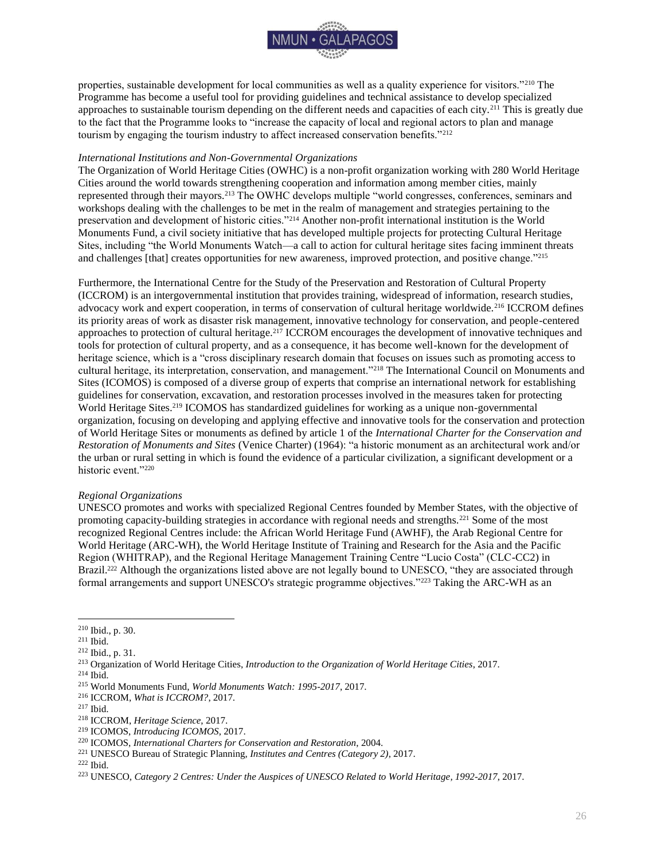

properties, sustainable development for local communities as well as a quality experience for visitors."<sup>210</sup> The Programme has become a useful tool for providing guidelines and technical assistance to develop specialized approaches to sustainable tourism depending on the different needs and capacities of each city.<sup>211</sup> This is greatly due to the fact that the Programme looks to "increase the capacity of local and regional actors to plan and manage tourism by engaging the tourism industry to affect increased conservation benefits."<sup>212</sup>

### *International Institutions and Non-Governmental Organizations*

The Organization of World Heritage Cities (OWHC) is a non-profit organization working with 280 World Heritage Cities around the world towards strengthening cooperation and information among member cities, mainly represented through their mayors.<sup>213</sup> The OWHC develops multiple "world congresses, conferences, seminars and workshops dealing with the challenges to be met in the realm of management and strategies pertaining to the preservation and development of historic cities."<sup>214</sup> Another non-profit international institution is the World Monuments Fund, a civil society initiative that has developed multiple projects for protecting Cultural Heritage Sites, including "the World Monuments Watch—a call to action for cultural heritage sites facing imminent threats and challenges [that] creates opportunities for new awareness, improved protection, and positive change."<sup>215</sup>

Furthermore, the International Centre for the Study of the Preservation and Restoration of Cultural Property (ICCROM) is an intergovernmental institution that provides training, widespread of information, research studies, advocacy work and expert cooperation, in terms of conservation of cultural heritage worldwide.<sup>216</sup> ICCROM defines its priority areas of work as disaster risk management, innovative technology for conservation, and people-centered approaches to protection of cultural heritage.<sup>217</sup> ICCROM encourages the development of innovative techniques and tools for protection of cultural property, and as a consequence, it has become well-known for the development of heritage science, which is a "cross disciplinary research domain that focuses on issues such as promoting access to cultural heritage, its interpretation, conservation, and management."<sup>218</sup> The International Council on Monuments and Sites (ICOMOS) is composed of a diverse group of experts that comprise an international network for establishing guidelines for conservation, excavation, and restoration processes involved in the measures taken for protecting World Heritage Sites.<sup>219</sup> ICOMOS has standardized guidelines for working as a unique non-governmental organization, focusing on developing and applying effective and innovative tools for the conservation and protection of World Heritage Sites or monuments as defined by article 1 of the *International Charter for the Conservation and Restoration of Monuments and Sites* (Venice Charter) (1964): "a historic monument as an architectural work and/or the urban or rural setting in which is found the evidence of a particular civilization, a significant development or a historic event."<sup>220</sup>

### *Regional Organizations*

UNESCO promotes and works with specialized Regional Centres founded by Member States, with the objective of promoting capacity-building strategies in accordance with regional needs and strengths.<sup>221</sup> Some of the most recognized Regional Centres include: the African World Heritage Fund (AWHF), the Arab Regional Centre for World Heritage (ARC-WH), the World Heritage Institute of Training and Research for the Asia and the Pacific Region (WHITRAP), and the Regional Heritage Management Training Centre "Lucio Costa" (CLC-CC2) in Brazil.<sup>222</sup> Although the organizations listed above are not legally bound to UNESCO, "they are associated through formal arrangements and support UNESCO's strategic programme objectives."<sup>223</sup> Taking the ARC-WH as an

<sup>210</sup> Ibid., p. 30.

<sup>211</sup> Ibid.

<sup>212</sup> Ibid., p. 31.

<sup>213</sup> Organization of World Heritage Cities, *Introduction to the Organization of World Heritage Cities*, 2017.

<sup>214</sup> Ibid.

<sup>215</sup> World Monuments Fund, *World Monuments Watch: 1995-2017*, 2017.

<sup>216</sup> ICCROM, *What is ICCROM?*, 2017.

<sup>217</sup> Ibid.

<sup>218</sup> ICCROM, *Heritage Science*, 2017.

<sup>219</sup> ICOMOS, *Introducing ICOMOS*, 2017.

<sup>220</sup> ICOMOS, *International Charters for Conservation and Restoration*, 2004.

<sup>221</sup> UNESCO Bureau of Strategic Planning, *Institutes and Centres (Category 2)*, 2017.

<sup>222</sup> Ibid.

<sup>223</sup> UNESCO, *Category 2 Centres: Under the Auspices of UNESCO Related to World Heritage, 1992-2017*, 2017.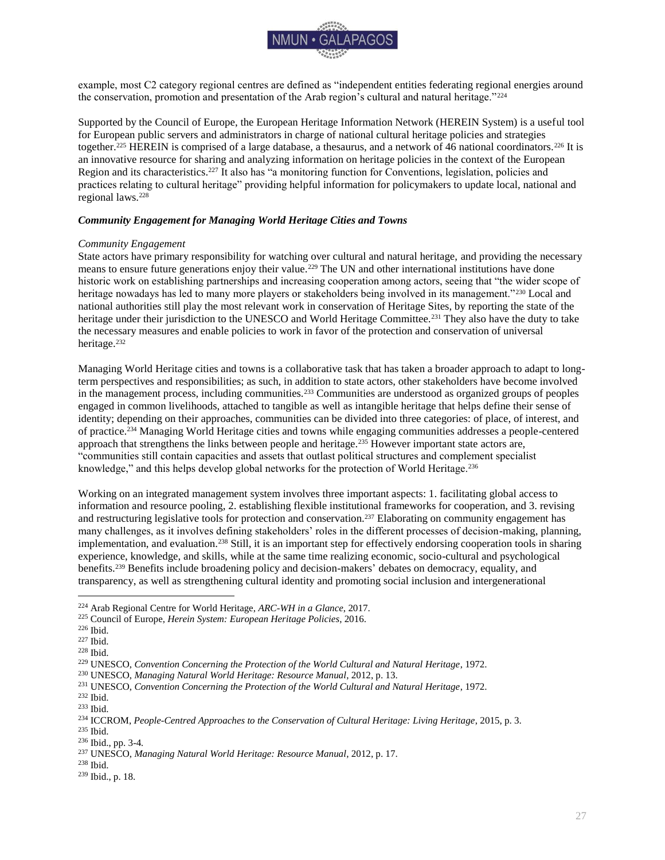

example, most C2 category regional centres are defined as "independent entities federating regional energies around the conservation, promotion and presentation of the Arab region's cultural and natural heritage."<sup>224</sup>

Supported by the Council of Europe, the European Heritage Information Network (HEREIN System) is a useful tool for European public servers and administrators in charge of national cultural heritage policies and strategies together.<sup>225</sup> HEREIN is comprised of a large database, a thesaurus, and a network of 46 national coordinators.<sup>226</sup> It is an innovative resource for sharing and analyzing information on heritage policies in the context of the European Region and its characteristics.<sup>227</sup> It also has "a monitoring function for Conventions, legislation, policies and practices relating to cultural heritage" providing helpful information for policymakers to update local, national and regional laws.<sup>228</sup>

### <span id="page-27-0"></span>*Community Engagement for Managing World Heritage Cities and Towns*

### *Community Engagement*

State actors have primary responsibility for watching over cultural and natural heritage, and providing the necessary means to ensure future generations enjoy their value.<sup>229</sup> The UN and other international institutions have done historic work on establishing partnerships and increasing cooperation among actors, seeing that "the wider scope of heritage nowadays has led to many more players or stakeholders being involved in its management."<sup>230</sup> Local and national authorities still play the most relevant work in conservation of Heritage Sites, by reporting the state of the heritage under their jurisdiction to the UNESCO and World Heritage Committee.<sup>231</sup> They also have the duty to take the necessary measures and enable policies to work in favor of the protection and conservation of universal heritage.<sup>232</sup>

Managing World Heritage cities and towns is a collaborative task that has taken a broader approach to adapt to longterm perspectives and responsibilities; as such, in addition to state actors, other stakeholders have become involved in the management process, including communities.<sup>233</sup> Communities are understood as organized groups of peoples engaged in common livelihoods, attached to tangible as well as intangible heritage that helps define their sense of identity; depending on their approaches, communities can be divided into three categories: of place, of interest, and of practice.<sup>234</sup> Managing World Heritage cities and towns while engaging communities addresses a people-centered approach that strengthens the links between people and heritage.<sup>235</sup> However important state actors are, "communities still contain capacities and assets that outlast political structures and complement specialist knowledge," and this helps develop global networks for the protection of World Heritage.<sup>236</sup>

Working on an integrated management system involves three important aspects: 1. facilitating global access to information and resource pooling, 2. establishing flexible institutional frameworks for cooperation, and 3. revising and restructuring legislative tools for protection and conservation.<sup>237</sup> Elaborating on community engagement has many challenges, as it involves defining stakeholders' roles in the different processes of decision-making, planning, implementation, and evaluation.<sup>238</sup> Still, it is an important step for effectively endorsing cooperation tools in sharing experience, knowledge, and skills, while at the same time realizing economic, socio-cultural and psychological benefits.<sup>239</sup> Benefits include broadening policy and decision-makers' debates on democracy, equality, and transparency, as well as strengthening cultural identity and promoting social inclusion and intergenerational

<sup>224</sup> Arab Regional Centre for World Heritage, *ARC-WH in a Glance*, 2017.

<sup>225</sup> Council of Europe, *Herein System: European Heritage Policies*, 2016.

<sup>226</sup> Ibid.

<sup>227</sup> Ibid.

<sup>228</sup> Ibid.

<sup>229</sup> UNESCO, *Convention Concerning the Protection of the World Cultural and Natural Heritage*, 1972.

<sup>230</sup> UNESCO, *Managing Natural World Heritage: Resource Manual*, 2012, p. 13.

<sup>231</sup> UNESCO, *Convention Concerning the Protection of the World Cultural and Natural Heritage*, 1972.

<sup>232</sup> Ibid.

<sup>233</sup> Ibid.

<sup>234</sup> ICCROM, *People-Centred Approaches to the Conservation of Cultural Heritage: Living Heritage*, 2015, p. 3. <sup>235</sup> Ibid.

<sup>236</sup> Ibid., pp. 3-4*.*

<sup>237</sup> UNESCO, *Managing Natural World Heritage: Resource Manual*, 2012, p. 17.

<sup>238</sup> Ibid.

<sup>239</sup> Ibid., p. 18.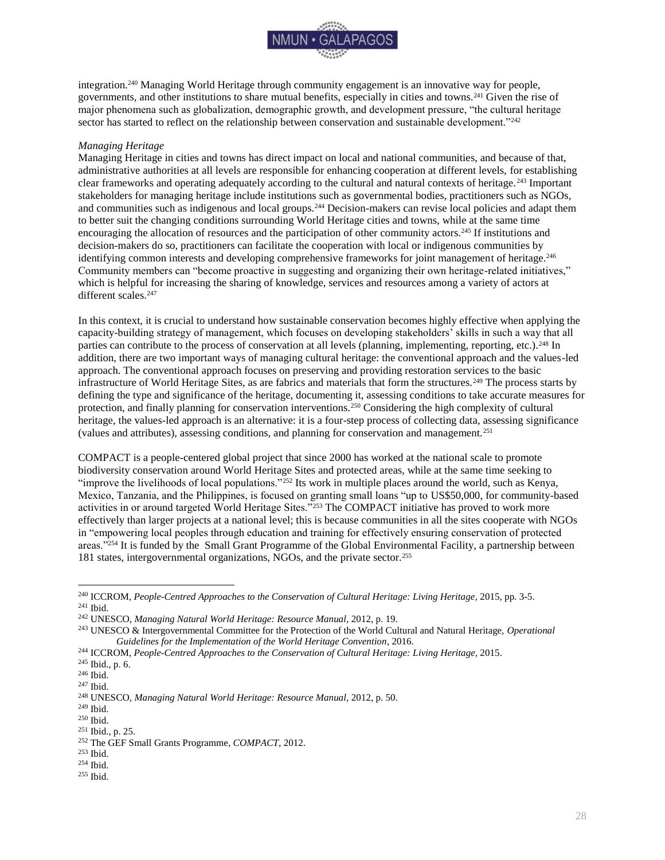

integration.<sup>240</sup> Managing World Heritage through community engagement is an innovative way for people, governments, and other institutions to share mutual benefits, especially in cities and towns.<sup>241</sup> Given the rise of major phenomena such as globalization, demographic growth, and development pressure, "the cultural heritage sector has started to reflect on the relationship between conservation and sustainable development."<sup>242</sup>

### *Managing Heritage*

Managing Heritage in cities and towns has direct impact on local and national communities, and because of that, administrative authorities at all levels are responsible for enhancing cooperation at different levels, for establishing clear frameworks and operating adequately according to the cultural and natural contexts of heritage.<sup>243</sup> Important stakeholders for managing heritage include institutions such as governmental bodies, practitioners such as NGOs, and communities such as indigenous and local groups.<sup>244</sup> Decision-makers can revise local policies and adapt them to better suit the changing conditions surrounding World Heritage cities and towns, while at the same time encouraging the allocation of resources and the participation of other community actors.<sup>245</sup> If institutions and decision-makers do so, practitioners can facilitate the cooperation with local or indigenous communities by identifying common interests and developing comprehensive frameworks for joint management of heritage.<sup>246</sup> Community members can "become proactive in suggesting and organizing their own heritage-related initiatives," which is helpful for increasing the sharing of knowledge, services and resources among a variety of actors at different scales.<sup>247</sup>

In this context, it is crucial to understand how sustainable conservation becomes highly effective when applying the capacity-building strategy of management, which focuses on developing stakeholders' skills in such a way that all parties can contribute to the process of conservation at all levels (planning, implementing, reporting, etc.).<sup>248</sup> In addition, there are two important ways of managing cultural heritage: the conventional approach and the values-led approach. The conventional approach focuses on preserving and providing restoration services to the basic infrastructure of World Heritage Sites, as are fabrics and materials that form the structures.<sup>249</sup> The process starts by defining the type and significance of the heritage, documenting it, assessing conditions to take accurate measures for protection, and finally planning for conservation interventions.<sup>250</sup> Considering the high complexity of cultural heritage, the values-led approach is an alternative: it is a four-step process of collecting data, assessing significance (values and attributes), assessing conditions, and planning for conservation and management.<sup>251</sup>

COMPACT is a people-centered global project that since 2000 has worked at the national scale to promote biodiversity conservation around World Heritage Sites and protected areas, while at the same time seeking to "improve the livelihoods of local populations."<sup>252</sup> Its work in multiple places around the world, such as Kenya, Mexico, Tanzania, and the Philippines, is focused on granting small loans "up to US\$50,000, for community-based activities in or around targeted World Heritage Sites."<sup>253</sup> The COMPACT initiative has proved to work more effectively than larger projects at a national level; this is because communities in all the sites cooperate with NGOs in "empowering local peoples through education and training for effectively ensuring conservation of protected areas."<sup>254</sup> It is funded by the Small Grant Programme of the Global Environmental Facility, a partnership between 181 states, intergovernmental organizations, NGOs, and the private sector.<sup>255</sup>

 $\overline{a}$ 

<sup>255</sup> Ibid.

<sup>&</sup>lt;sup>240</sup> ICCROM, *People-Centred Approaches to the Conservation of Cultural Heritage: Living Heritage, 2015, pp. 3-5.* <sup>241</sup> Ibid.

<sup>242</sup> UNESCO, *Managing Natural World Heritage: Resource Manual,* 2012, p. 19.

<sup>243</sup> UNESCO & Intergovernmental Committee for the Protection of the World Cultural and Natural Heritage, *Operational Guidelines for the Implementation of the World Heritage Convention*, 2016.

<sup>&</sup>lt;sup>244</sup> ICCROM, People-Centred Approaches to the Conservation of Cultural Heritage: Living Heritage, 2015.

<sup>245</sup> Ibid., p. 6.

<sup>246</sup> Ibid.

<sup>247</sup> Ibid.

<sup>248</sup> UNESCO, *Managing Natural World Heritage: Resource Manual,* 2012, p. 50.

<sup>249</sup> Ibid.

<sup>250</sup> Ibid.

<sup>251</sup> Ibid., p. 25.

<sup>252</sup> The GEF Small Grants Programme, *COMPACT*, 2012.

<sup>253</sup> Ibid.

<sup>254</sup> Ibid.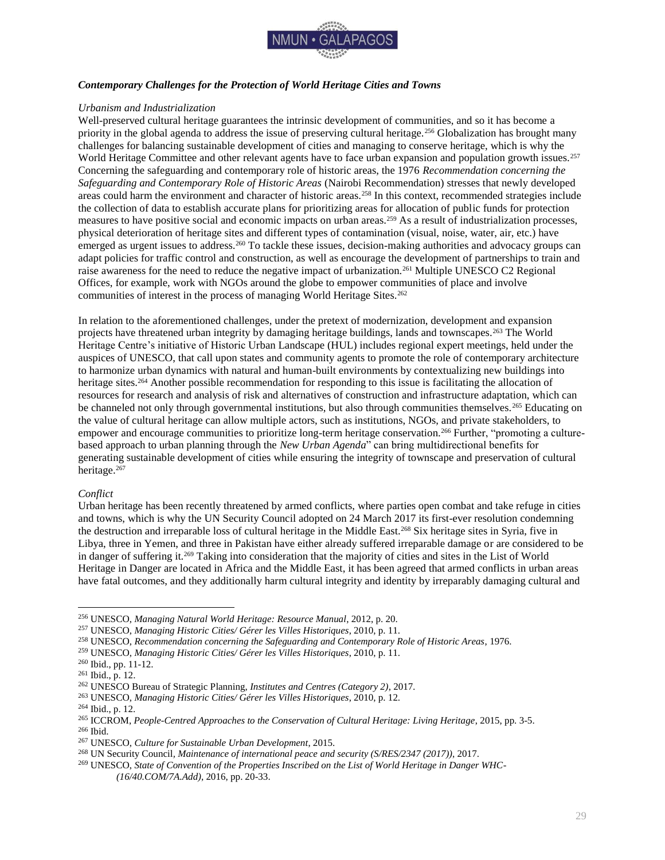

### <span id="page-29-0"></span>*Contemporary Challenges for the Protection of World Heritage Cities and Towns*

### *Urbanism and Industrialization*

Well-preserved cultural heritage guarantees the intrinsic development of communities, and so it has become a priority in the global agenda to address the issue of preserving cultural heritage.<sup>256</sup> Globalization has brought many challenges for balancing sustainable development of cities and managing to conserve heritage, which is why the World Heritage Committee and other relevant agents have to face urban expansion and population growth issues.<sup>257</sup> Concerning the safeguarding and contemporary role of historic areas, the 1976 *Recommendation concerning the Safeguarding and Contemporary Role of Historic Areas* (Nairobi Recommendation) stresses that newly developed areas could harm the environment and character of historic areas.<sup>258</sup> In this context, recommended strategies include the collection of data to establish accurate plans for prioritizing areas for allocation of public funds for protection measures to have positive social and economic impacts on urban areas.<sup>259</sup> As a result of industrialization processes, physical deterioration of heritage sites and different types of contamination (visual, noise, water, air, etc.) have emerged as urgent issues to address.<sup>260</sup> To tackle these issues, decision-making authorities and advocacy groups can adapt policies for traffic control and construction, as well as encourage the development of partnerships to train and raise awareness for the need to reduce the negative impact of urbanization.<sup>261</sup> Multiple UNESCO C2 Regional Offices, for example, work with NGOs around the globe to empower communities of place and involve communities of interest in the process of managing World Heritage Sites.<sup>262</sup>

In relation to the aforementioned challenges, under the pretext of modernization, development and expansion projects have threatened urban integrity by damaging heritage buildings, lands and townscapes.<sup>263</sup> The World Heritage Centre's initiative of Historic Urban Landscape (HUL) includes regional expert meetings, held under the auspices of UNESCO, that call upon states and community agents to promote the role of contemporary architecture to harmonize urban dynamics with natural and human-built environments by contextualizing new buildings into heritage sites.<sup>264</sup> Another possible recommendation for responding to this issue is facilitating the allocation of resources for research and analysis of risk and alternatives of construction and infrastructure adaptation, which can be channeled not only through governmental institutions, but also through communities themselves.<sup>265</sup> Educating on the value of cultural heritage can allow multiple actors, such as institutions, NGOs, and private stakeholders, to empower and encourage communities to prioritize long-term heritage conservation.<sup>266</sup> Further, "promoting a culturebased approach to urban planning through the *New Urban Agenda*" can bring multidirectional benefits for generating sustainable development of cities while ensuring the integrity of townscape and preservation of cultural heritage.<sup>267</sup>

### *Conflict*

 $\overline{a}$ 

Urban heritage has been recently threatened by armed conflicts, where parties open combat and take refuge in cities and towns, which is why the UN Security Council adopted on 24 March 2017 its first-ever resolution condemning the destruction and irreparable loss of cultural heritage in the Middle East.<sup>268</sup> Six heritage sites in Syria, five in Libya, three in Yemen, and three in Pakistan have either already suffered irreparable damage or are considered to be in danger of suffering it.<sup>269</sup> Taking into consideration that the majority of cities and sites in the List of World Heritage in Danger are located in Africa and the Middle East, it has been agreed that armed conflicts in urban areas have fatal outcomes, and they additionally harm cultural integrity and identity by irreparably damaging cultural and

<sup>256</sup> UNESCO, *Managing Natural World Heritage: Resource Manual*, 2012, p. 20.

<sup>257</sup> UNESCO, *Managing Historic Cities/ Gérer les Villes Historiques*, 2010, p. 11.

<sup>258</sup> UNESCO, *Recommendation concerning the Safeguarding and Contemporary Role of Historic Areas*, 1976.

<sup>259</sup> UNESCO, *Managing Historic Cities/ Gérer les Villes Historiques*, 2010, p. 11.

<sup>260</sup> Ibid., pp. 11-12.

 $261$  Ibid., p. 12.

<sup>262</sup> UNESCO Bureau of Strategic Planning, *Institutes and Centres (Category 2)*, 2017*.* 

<sup>263</sup> UNESCO, *Managing Historic Cities/ Gérer les Villes Historiques*, 2010, p. 12.

<sup>264</sup> Ibid., p. 12.

<sup>265</sup> ICCROM, *People-Centred Approaches to the Conservation of Cultural Heritage: Living Heritage*, 2015, pp. 3-5. <sup>266</sup> Ibid.

<sup>267</sup> UNESCO, *Culture for Sustainable Urban Development*, 2015.

<sup>268</sup> UN Security Council*, Maintenance of international peace and security (S/RES/2347 (2017))*, 2017.

<sup>269</sup> UNESCO, *State of Convention of the Properties Inscribed on the List of World Heritage in Danger WHC- (16/40.COM/7A.Add)*, 2016, pp. 20-33.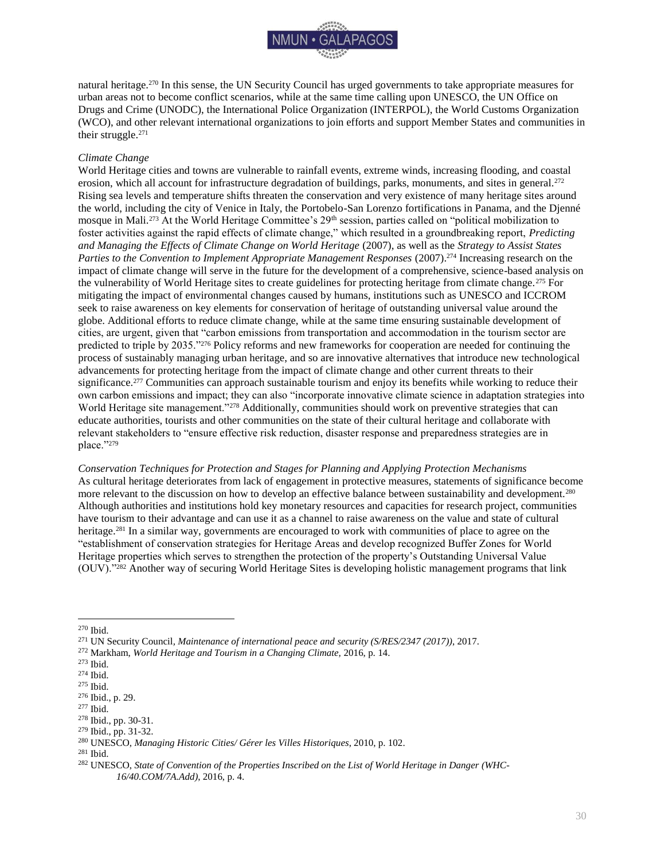

natural heritage.<sup>270</sup> In this sense, the UN Security Council has urged governments to take appropriate measures for urban areas not to become conflict scenarios, while at the same time calling upon UNESCO, the UN Office on Drugs and Crime (UNODC), the International Police Organization (INTERPOL), the World Customs Organization (WCO), and other relevant international organizations to join efforts and support Member States and communities in their struggle.<sup>271</sup>

### *Climate Change*

World Heritage cities and towns are vulnerable to rainfall events, extreme winds, increasing flooding, and coastal erosion, which all account for infrastructure degradation of buildings, parks, monuments, and sites in general.<sup>272</sup> Rising sea levels and temperature shifts threaten the conservation and very existence of many heritage sites around the world, including the city of Venice in Italy, the Portobelo-San Lorenzo fortifications in Panama, and the Djenné mosque in Mali.<sup>273</sup> At the World Heritage Committee's 29th session, parties called on "political mobilization to foster activities against the rapid effects of climate change," which resulted in a groundbreaking report, *Predicting and Managing the Effects of Climate Change on World Heritage* (2007), as well as the *Strategy to Assist States Parties to the Convention to Implement Appropriate Management Responses* (2007).<sup>274</sup> Increasing research on the impact of climate change will serve in the future for the development of a comprehensive, science-based analysis on the vulnerability of World Heritage sites to create guidelines for protecting heritage from climate change.<sup>275</sup> For mitigating the impact of environmental changes caused by humans, institutions such as UNESCO and ICCROM seek to raise awareness on key elements for conservation of heritage of outstanding universal value around the globe. Additional efforts to reduce climate change, while at the same time ensuring sustainable development of cities, are urgent, given that "carbon emissions from transportation and accommodation in the tourism sector are predicted to triple by 2035."<sup>276</sup> Policy reforms and new frameworks for cooperation are needed for continuing the process of sustainably managing urban heritage, and so are innovative alternatives that introduce new technological advancements for protecting heritage from the impact of climate change and other current threats to their significance.<sup>277</sup> Communities can approach sustainable tourism and enjoy its benefits while working to reduce their own carbon emissions and impact; they can also "incorporate innovative climate science in adaptation strategies into World Heritage site management."<sup>278</sup> Additionally, communities should work on preventive strategies that can educate authorities, tourists and other communities on the state of their cultural heritage and collaborate with relevant stakeholders to "ensure effective risk reduction, disaster response and preparedness strategies are in place."<sup>279</sup>

*Conservation Techniques for Protection and Stages for Planning and Applying Protection Mechanisms* As cultural heritage deteriorates from lack of engagement in protective measures, statements of significance become more relevant to the discussion on how to develop an effective balance between sustainability and development.<sup>280</sup> Although authorities and institutions hold key monetary resources and capacities for research project, communities have tourism to their advantage and can use it as a channel to raise awareness on the value and state of cultural heritage.<sup>281</sup> In a similar way, governments are encouraged to work with communities of place to agree on the "establishment of conservation strategies for Heritage Areas and develop recognized Buffer Zones for World Heritage properties which serves to strengthen the protection of the property's Outstanding Universal Value (OUV)."<sup>282</sup> Another way of securing World Heritage Sites is developing holistic management programs that link

<sup>270</sup> Ibid.

<sup>271</sup> UN Security Council*, Maintenance of international peace and security (S/RES/2347 (2017))*, 2017.

<sup>272</sup> Markham, *World Heritage and Tourism in a Changing Climate,* 2016, p. 14.

<sup>273</sup> Ibid.

<sup>274</sup> Ibid.

<sup>275</sup> Ibid.

<sup>276</sup> Ibid., p. 29.

<sup>277</sup> Ibid.

<sup>278</sup> Ibid., pp. 30-31.

<sup>279</sup> Ibid., pp. 31-32.

<sup>280</sup> UNESCO, *Managing Historic Cities/ Gérer les Villes Historiques*, 2010, p. 102.

<sup>281</sup> Ibid.

<sup>282</sup> UNESCO, *State of Convention of the Properties Inscribed on the List of World Heritage in Danger (WHC-16/40.COM/7A.Add)*, 2016, p. 4.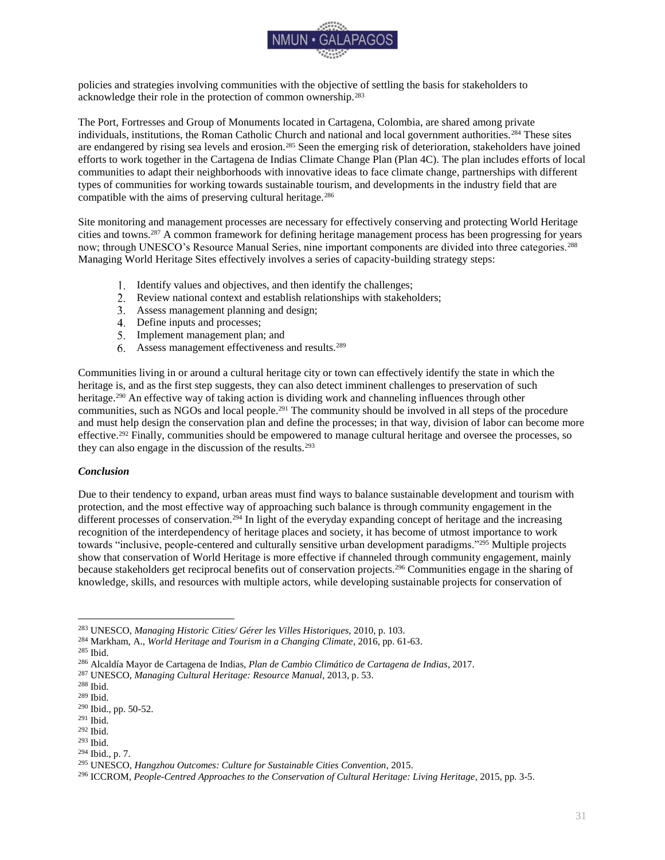

policies and strategies involving communities with the objective of settling the basis for stakeholders to acknowledge their role in the protection of common ownership.<sup>283</sup>

The Port, Fortresses and Group of Monuments located in Cartagena, Colombia, are shared among private individuals, institutions, the Roman Catholic Church and national and local government authorities.<sup>284</sup> These sites are endangered by rising sea levels and erosion.<sup>285</sup> Seen the emerging risk of deterioration, stakeholders have joined efforts to work together in the Cartagena de Indias Climate Change Plan (Plan 4C). The plan includes efforts of local communities to adapt their neighborhoods with innovative ideas to face climate change, partnerships with different types of communities for working towards sustainable tourism, and developments in the industry field that are compatible with the aims of preserving cultural heritage.<sup>286</sup>

Site monitoring and management processes are necessary for effectively conserving and protecting World Heritage cities and towns.<sup>287</sup> A common framework for defining heritage management process has been progressing for years now; through UNESCO's Resource Manual Series, nine important components are divided into three categories.<sup>288</sup> Managing World Heritage Sites effectively involves a series of capacity-building strategy steps:

- 1. Identify values and objectives, and then identify the challenges;
- Review national context and establish relationships with stakeholders;
- Assess management planning and design;
- Define inputs and processes;
- 5. Implement management plan; and
- Assess management effectiveness and results.<sup>289</sup>

Communities living in or around a cultural heritage city or town can effectively identify the state in which the heritage is, and as the first step suggests, they can also detect imminent challenges to preservation of such heritage.<sup>290</sup> An effective way of taking action is dividing work and channeling influences through other communities, such as NGOs and local people.<sup>291</sup> The community should be involved in all steps of the procedure and must help design the conservation plan and define the processes; in that way, division of labor can become more effective.<sup>292</sup> Finally, communities should be empowered to manage cultural heritage and oversee the processes, so they can also engage in the discussion of the results.<sup>293</sup>

### <span id="page-31-0"></span>*Conclusion*

Due to their tendency to expand, urban areas must find ways to balance sustainable development and tourism with protection, and the most effective way of approaching such balance is through community engagement in the different processes of conservation.<sup>294</sup> In light of the everyday expanding concept of heritage and the increasing recognition of the interdependency of heritage places and society, it has become of utmost importance to work towards "inclusive, people-centered and culturally sensitive urban development paradigms."<sup>295</sup> Multiple projects show that conservation of World Heritage is more effective if channeled through community engagement, mainly because stakeholders get reciprocal benefits out of conservation projects.<sup>296</sup> Communities engage in the sharing of knowledge, skills, and resources with multiple actors, while developing sustainable projects for conservation of

 $\overline{a}$ <sup>283</sup> UNESCO, *Managing Historic Cities/ Gérer les Villes Historiques,* 2010, p. 103.

<sup>284</sup> Markham, A., *World Heritage and Tourism in a Changing Climate*, 2016, pp. 61-63.

<sup>285</sup> Ibid.

<sup>286</sup> Alcaldía Mayor de Cartagena de Indias, *Plan de Cambio Climático de Cartagena de Indias*, 2017.

<sup>287</sup> UNESCO, *Managing Cultural Heritage: Resource Manual*, 2013, p. 53.

<sup>288</sup> Ibid.

<sup>289</sup> Ibid.

<sup>290</sup> Ibid., pp. 50-52.

<sup>291</sup> Ibid.

<sup>292</sup> Ibid.

<sup>293</sup> Ibid.

<sup>294</sup> Ibid., p. 7.

<sup>295</sup> UNESCO, *Hangzhou Outcomes: Culture for Sustainable Cities Convention*, 2015.

<sup>296</sup> ICCROM, *People-Centred Approaches to the Conservation of Cultural Heritage: Living Heritage*, 2015, pp. 3-5.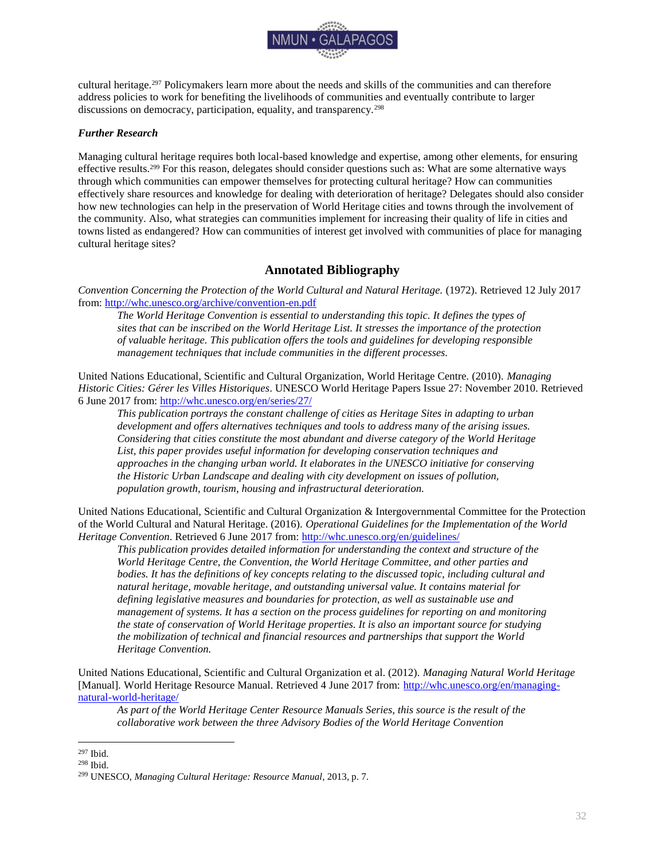

cultural heritage.<sup>297</sup> Policymakers learn more about the needs and skills of the communities and can therefore address policies to work for benefiting the livelihoods of communities and eventually contribute to larger discussions on democracy, participation, equality, and transparency.<sup>298</sup>

### <span id="page-32-0"></span>*Further Research*

Managing cultural heritage requires both local-based knowledge and expertise, among other elements, for ensuring effective results.<sup>299</sup> For this reason, delegates should consider questions such as: What are some alternative ways through which communities can empower themselves for protecting cultural heritage? How can communities effectively share resources and knowledge for dealing with deterioration of heritage? Delegates should also consider how new technologies can help in the preservation of World Heritage cities and towns through the involvement of the community. Also, what strategies can communities implement for increasing their quality of life in cities and towns listed as endangered? How can communities of interest get involved with communities of place for managing cultural heritage sites?

### **Annotated Bibliography**

<span id="page-32-1"></span>*Convention Concerning the Protection of the World Cultural and Natural Heritage.* (1972). Retrieved 12 July 2017 from[: http://whc.unesco.org/archive/convention-en.pdf](http://whc.unesco.org/archive/convention-en.pdf)

*The World Heritage Convention is essential to understanding this topic. It defines the types of sites that can be inscribed on the World Heritage List. It stresses the importance of the protection of valuable heritage. This publication offers the tools and guidelines for developing responsible management techniques that include communities in the different processes.* 

United Nations Educational, Scientific and Cultural Organization, World Heritage Centre. (2010). *Managing Historic Cities: Gérer les Villes Historiques*. UNESCO World Heritage Papers Issue 27: November 2010. Retrieved 6 June 2017 from:<http://whc.unesco.org/en/series/27/>

*This publication portrays the constant challenge of cities as Heritage Sites in adapting to urban development and offers alternatives techniques and tools to address many of the arising issues. Considering that cities constitute the most abundant and diverse category of the World Heritage List, this paper provides useful information for developing conservation techniques and approaches in the changing urban world. It elaborates in the UNESCO initiative for conserving the Historic Urban Landscape and dealing with city development on issues of pollution, population growth, tourism, housing and infrastructural deterioration.*

United Nations Educational, Scientific and Cultural Organization & Intergovernmental Committee for the Protection of the World Cultural and Natural Heritage. (2016). *Operational Guidelines for the Implementation of the World Heritage Convention*. Retrieved 6 June 2017 from:<http://whc.unesco.org/en/guidelines/>

*This publication provides detailed information for understanding the context and structure of the World Heritage Centre, the Convention, the World Heritage Committee, and other parties and bodies. It has the definitions of key concepts relating to the discussed topic, including cultural and natural heritage, movable heritage, and outstanding universal value. It contains material for defining legislative measures and boundaries for protection, as well as sustainable use and management of systems. It has a section on the process guidelines for reporting on and monitoring the state of conservation of World Heritage properties. It is also an important source for studying the mobilization of technical and financial resources and partnerships that support the World Heritage Convention.* 

United Nations Educational, Scientific and Cultural Organization et al. (2012). *Managing Natural World Heritage*  [Manual]*.* World Heritage Resource Manual. Retrieved 4 June 2017 from: [http://whc.unesco.org/en/managing](http://whc.unesco.org/en/managing-natural-world-heritage/)[natural-world-heritage/](http://whc.unesco.org/en/managing-natural-world-heritage/) 

*As part of the World Heritage Center Resource Manuals Series, this source is the result of the collaborative work between the three Advisory Bodies of the World Heritage Convention* 

<sup>297</sup> Ibid.

<sup>298</sup> Ibid.

<sup>299</sup> UNESCO, *Managing Cultural Heritage: Resource Manual*, 2013, p. 7.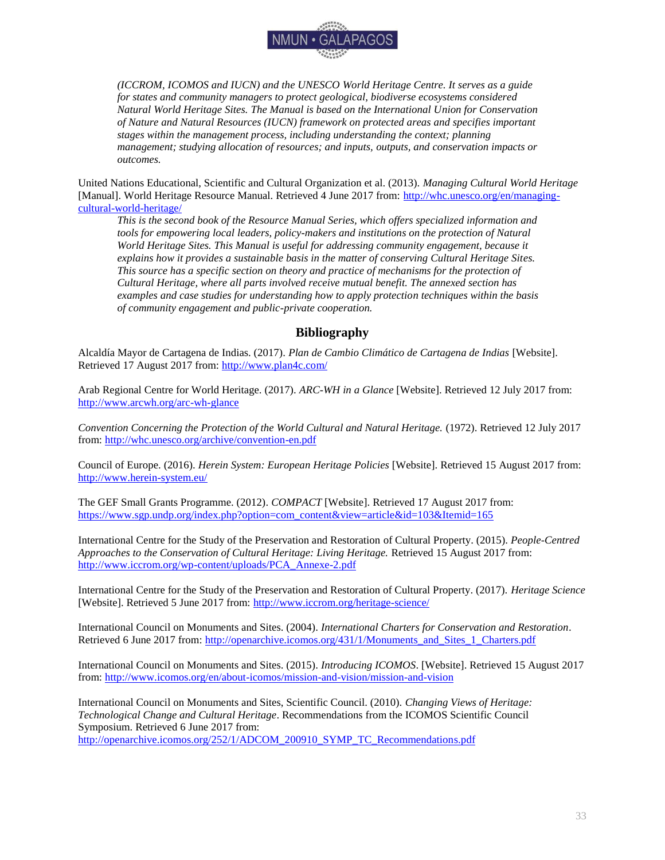

*(ICCROM, ICOMOS and IUCN) and the UNESCO World Heritage Centre. It serves as a guide for states and community managers to protect geological, biodiverse ecosystems considered Natural World Heritage Sites. The Manual is based on the International Union for Conservation of Nature and Natural Resources (IUCN) framework on protected areas and specifies important stages within the management process, including understanding the context; planning management; studying allocation of resources; and inputs, outputs, and conservation impacts or outcomes.*

United Nations Educational, Scientific and Cultural Organization et al. (2013). *Managing Cultural World Heritage*  [Manual]. World Heritage Resource Manual. Retrieved 4 June 2017 from: [http://whc.unesco.org/en/managing](http://whc.unesco.org/en/managing-cultural-world-heritage/)[cultural-world-heritage/](http://whc.unesco.org/en/managing-cultural-world-heritage/) 

*This is the second book of the Resource Manual Series, which offers specialized information and tools for empowering local leaders, policy-makers and institutions on the protection of Natural World Heritage Sites. This Manual is useful for addressing community engagement, because it explains how it provides a sustainable basis in the matter of conserving Cultural Heritage Sites. This source has a specific section on theory and practice of mechanisms for the protection of Cultural Heritage, where all parts involved receive mutual benefit. The annexed section has examples and case studies for understanding how to apply protection techniques within the basis of community engagement and public-private cooperation.* 

### **Bibliography**

<span id="page-33-0"></span>Alcaldía Mayor de Cartagena de Indias. (2017). *Plan de Cambio Climático de Cartagena de Indias* [Website]. Retrieved 17 August 2017 from:<http://www.plan4c.com/>

Arab Regional Centre for World Heritage. (2017). *ARC-WH in a Glance* [Website]. Retrieved 12 July 2017 from: <http://www.arcwh.org/arc-wh-glance>

*Convention Concerning the Protection of the World Cultural and Natural Heritage.* (1972). Retrieved 12 July 2017 from[: http://whc.unesco.org/archive/convention-en.pdf](http://whc.unesco.org/archive/convention-en.pdf)

Council of Europe. (2016). *Herein System: European Heritage Policies* [Website]. Retrieved 15 August 2017 from: <http://www.herein-system.eu/>

The GEF Small Grants Programme. (2012). *COMPACT* [Website]. Retrieved 17 August 2017 from: [https://www.sgp.undp.org/index.php?option=com\\_content&view=article&id=103&Itemid=165](https://www.sgp.undp.org/index.php?option=com_content&view=article&id=103&Itemid=165)

International Centre for the Study of the Preservation and Restoration of Cultural Property. (2015). *People-Centred Approaches to the Conservation of Cultural Heritage: Living Heritage.* Retrieved 15 August 2017 from: [http://www.iccrom.org/wp-content/uploads/PCA\\_Annexe-2.pdf](http://www.iccrom.org/wp-content/uploads/PCA_Annexe-2.pdf)

International Centre for the Study of the Preservation and Restoration of Cultural Property. (2017). *Heritage Science* [Website]. Retrieved 5 June 2017 from:<http://www.iccrom.org/heritage-science/>

International Council on Monuments and Sites. (2004). *International Charters for Conservation and Restoration*. Retrieved 6 June 2017 from: [http://openarchive.icomos.org/431/1/Monuments\\_and\\_Sites\\_1\\_Charters.pdf](http://openarchive.icomos.org/431/1/Monuments_and_Sites_1_Charters.pdf) 

International Council on Monuments and Sites. (2015). *Introducing ICOMOS*. [Website]. Retrieved 15 August 2017 from[: http://www.icomos.org/en/about-icomos/mission-and-vision/mission-and-vision](http://www.icomos.org/en/about-icomos/mission-and-vision/mission-and-vision)

International Council on Monuments and Sites, Scientific Council. (2010). *Changing Views of Heritage: Technological Change and Cultural Heritage*. Recommendations from the ICOMOS Scientific Council Symposium. Retrieved 6 June 2017 from:

[http://openarchive.icomos.org/252/1/ADCOM\\_200910\\_SYMP\\_TC\\_Recommendations.pdf](http://openarchive.icomos.org/252/1/ADCOM_200910_SYMP_TC_Recommendations.pdf)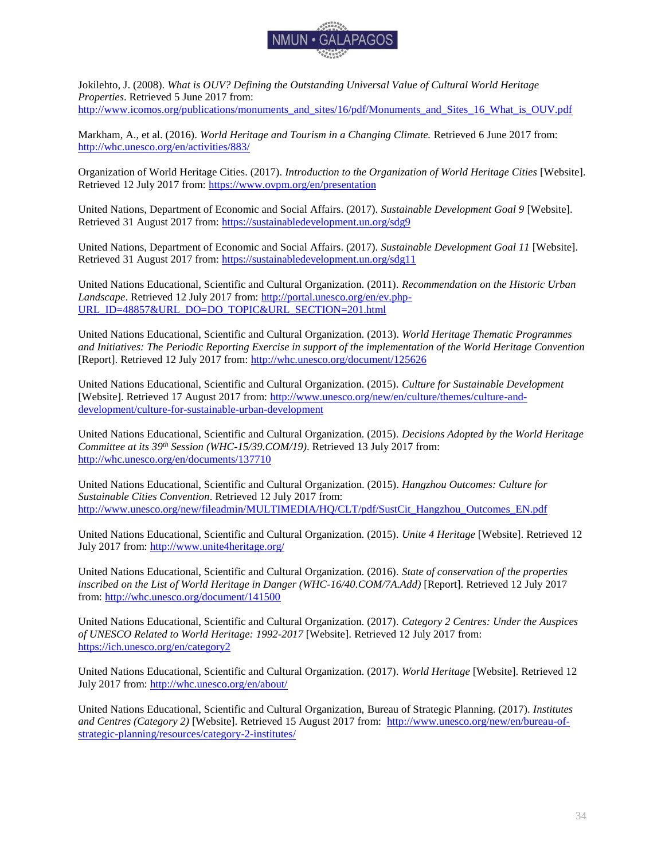

Jokilehto, J. (2008). *What is OUV? Defining the Outstanding Universal Value of Cultural World Heritage Properties*. Retrieved 5 June 2017 from: [http://www.icomos.org/publications/monuments\\_and\\_sites/16/pdf/Monuments\\_and\\_Sites\\_16\\_What\\_is\\_OUV.pdf](http://www.icomos.org/publications/monuments_and_sites/16/pdf/Monuments_and_Sites_16_What_is_OUV.pdf)

Markham, A., et al. (2016). *World Heritage and Tourism in a Changing Climate.* Retrieved 6 June 2017 from: <http://whc.unesco.org/en/activities/883/>

Organization of World Heritage Cities. (2017). *Introduction to the Organization of World Heritage Cities* [Website]. Retrieved 12 July 2017 from:<https://www.ovpm.org/en/presentation>

United Nations, Department of Economic and Social Affairs. (2017). *Sustainable Development Goal 9* [Website]. Retrieved 31 August 2017 from:<https://sustainabledevelopment.un.org/sdg9>

United Nations, Department of Economic and Social Affairs. (2017). *Sustainable Development Goal 11* [Website]. Retrieved 31 August 2017 from:<https://sustainabledevelopment.un.org/sdg11>

United Nations Educational, Scientific and Cultural Organization. (2011). *Recommendation on the Historic Urban*  Landscape. Retrieved 12 July 2017 from: [http://portal.unesco.org/en/ev.php-](http://portal.unesco.org/en/ev.php-URL_ID=48857&URL_DO=DO_TOPIC&URL_SECTION=201.html)[URL\\_ID=48857&URL\\_DO=DO\\_TOPIC&URL\\_SECTION=201.html](http://portal.unesco.org/en/ev.php-URL_ID=48857&URL_DO=DO_TOPIC&URL_SECTION=201.html)

United Nations Educational, Scientific and Cultural Organization. (2013). *World Heritage Thematic Programmes and Initiatives: The Periodic Reporting Exercise in support of the implementation of the World Heritage Convention* [Report]. Retrieved 12 July 2017 from:<http://whc.unesco.org/document/125626>

United Nations Educational, Scientific and Cultural Organization. (2015). *Culture for Sustainable Development* [Website]. Retrieved 17 August 2017 from: [http://www.unesco.org/new/en/culture/themes/culture-and](http://www.unesco.org/new/en/culture/themes/culture-and-development/culture-for-sustainable-urban-development)[development/culture-for-sustainable-urban-development](http://www.unesco.org/new/en/culture/themes/culture-and-development/culture-for-sustainable-urban-development)

United Nations Educational, Scientific and Cultural Organization. (2015). *Decisions Adopted by the World Heritage Committee at its 39th Session (WHC-15/39.COM/19)*. Retrieved 13 July 2017 from: <http://whc.unesco.org/en/documents/137710>

United Nations Educational, Scientific and Cultural Organization. (2015). *Hangzhou Outcomes: Culture for Sustainable Cities Convention*. Retrieved 12 July 2017 from: http://www.unesco.org/new/fileadmin/MULTIMEDIA/HO/CLT/pdf/SustCit\_Hangzhou\_Outcomes\_EN.pdf

United Nations Educational, Scientific and Cultural Organization. (2015). *Unite 4 Heritage* [Website]. Retrieved 12 July 2017 from:<http://www.unite4heritage.org/>

United Nations Educational, Scientific and Cultural Organization. (2016). *State of conservation of the properties inscribed on the List of World Heritage in Danger (WHC-16/40.COM/7A.Add)* [Report]. Retrieved 12 July 2017 from[: http://whc.unesco.org/document/141500](http://whc.unesco.org/document/141500)

United Nations Educational, Scientific and Cultural Organization. (2017). *Category 2 Centres: Under the Auspices of UNESCO Related to World Heritage: 1992-2017* [Website]. Retrieved 12 July 2017 from: <https://ich.unesco.org/en/category2>

United Nations Educational, Scientific and Cultural Organization. (2017). *World Heritage* [Website]. Retrieved 12 July 2017 from:<http://whc.unesco.org/en/about/>

United Nations Educational, Scientific and Cultural Organization, Bureau of Strategic Planning. (2017). *Institutes and Centres (Category 2)* [Website]. Retrieved 15 August 2017 from: [http://www.unesco.org/new/en/bureau-of](http://www.unesco.org/new/en/bureau-of-strategic-planning/resources/category-2-institutes/)[strategic-planning/resources/category-2-institutes/](http://www.unesco.org/new/en/bureau-of-strategic-planning/resources/category-2-institutes/)